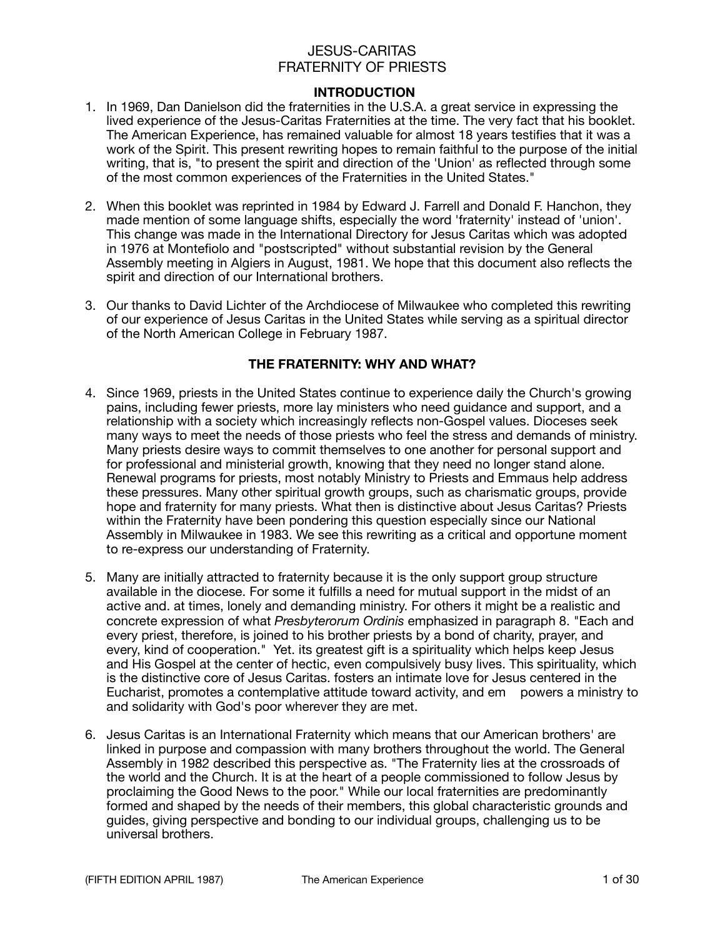#### **INTRODUCTION**

- 1. In 1969, Dan Danielson did the fraternities in the U.S.A. a great service in expressing the lived experience of the Jesus-Caritas Fraternities at the time. The very fact that his booklet. The American Experience, has remained valuable for almost 18 years testifies that it was a work of the Spirit. This present rewriting hopes to remain faithful to the purpose of the initial writing, that is, "to present the spirit and direction of the 'Union' as reflected through some of the most common experiences of the Fraternities in the United States."
- 2. When this booklet was reprinted in 1984 by Edward J. Farrell and Donald F. Hanchon, they made mention of some language shifts, especially the word 'fraternity' instead of 'union'. This change was made in the International Directory for Jesus Caritas which was adopted in 1976 at Montefiolo and "postscripted" without substantial revision by the General Assembly meeting in Algiers in August, 1981. We hope that this document also reflects the spirit and direction of our International brothers.
- 3. Our thanks to David Lichter of the Archdiocese of Milwaukee who completed this rewriting of our experience of Jesus Caritas in the United States while serving as a spiritual director of the North American College in February 1987.

#### **THE FRATERNITY: WHY AND WHAT?**

- 4. Since 1969, priests in the United States continue to experience daily the Church's growing pains, including fewer priests, more lay ministers who need guidance and support, and a relationship with a society which increasingly reflects non-Gospel values. Dioceses seek many ways to meet the needs of those priests who feel the stress and demands of ministry. Many priests desire ways to commit themselves to one another for personal support and for professional and ministerial growth, knowing that they need no longer stand alone. Renewal programs for priests, most notably Ministry to Priests and Emmaus help address these pressures. Many other spiritual growth groups, such as charismatic groups, provide hope and fraternity for many priests. What then is distinctive about Jesus Caritas? Priests within the Fraternity have been pondering this question especially since our National Assembly in Milwaukee in 1983. We see this rewriting as a critical and opportune moment to re-express our understanding of Fraternity.
- 5. Many are initially attracted to fraternity because it is the only support group structure available in the diocese. For some it fulfills a need for mutual support in the midst of an active and. at times, lonely and demanding ministry. For others it might be a realistic and concrete expression of what *Presbyterorum Ordinis* emphasized in paragraph 8. "Each and every priest, therefore, is joined to his brother priests by a bond of charity, prayer, and every, kind of cooperation." Yet. its greatest gift is a spirituality which helps keep Jesus and His Gospel at the center of hectic, even compulsively busy lives. This spirituality, which is the distinctive core of Jesus Caritas. fosters an intimate love for Jesus centered in the Eucharist, promotes a contemplative attitude toward activity, and em powers a ministry to and solidarity with God's poor wherever they are met.
- 6. Jesus Caritas is an International Fraternity which means that our American brothers' are linked in purpose and compassion with many brothers throughout the world. The General Assembly in 1982 described this perspective as. "The Fraternity lies at the crossroads of the world and the Church. It is at the heart of a people commissioned to follow Jesus by proclaiming the Good News to the poor." While our local fraternities are predominantly formed and shaped by the needs of their members, this global characteristic grounds and guides, giving perspective and bonding to our individual groups, challenging us to be universal brothers.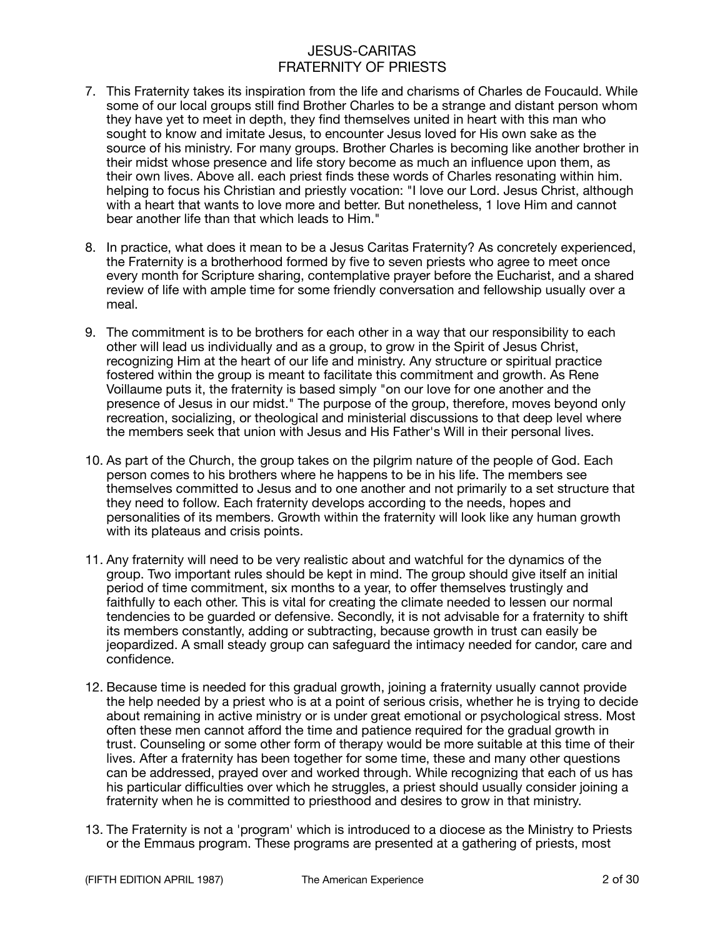- 7. This Fraternity takes its inspiration from the life and charisms of Charles de Foucauld. While some of our local groups still find Brother Charles to be a strange and distant person whom they have yet to meet in depth, they find themselves united in heart with this man who sought to know and imitate Jesus, to encounter Jesus loved for His own sake as the source of his ministry. For many groups. Brother Charles is becoming like another brother in their midst whose presence and life story become as much an influence upon them, as their own lives. Above all. each priest finds these words of Charles resonating within him. helping to focus his Christian and priestly vocation: "I love our Lord. Jesus Christ, although with a heart that wants to love more and better. But nonetheless, 1 love Him and cannot bear another life than that which leads to Him."
- 8. In practice, what does it mean to be a Jesus Caritas Fraternity? As concretely experienced, the Fraternity is a brotherhood formed by five to seven priests who agree to meet once every month for Scripture sharing, contemplative prayer before the Eucharist, and a shared review of life with ample time for some friendly conversation and fellowship usually over a meal.
- 9. The commitment is to be brothers for each other in a way that our responsibility to each other will lead us individually and as a group, to grow in the Spirit of Jesus Christ, recognizing Him at the heart of our life and ministry. Any structure or spiritual practice fostered within the group is meant to facilitate this commitment and growth. As Rene Voillaume puts it, the fraternity is based simply "on our love for one another and the presence of Jesus in our midst." The purpose of the group, therefore, moves beyond only recreation, socializing, or theological and ministerial discussions to that deep level where the members seek that union with Jesus and His Father's Will in their personal lives.
- 10. As part of the Church, the group takes on the pilgrim nature of the people of God. Each person comes to his brothers where he happens to be in his life. The members see themselves committed to Jesus and to one another and not primarily to a set structure that they need to follow. Each fraternity develops according to the needs, hopes and personalities of its members. Growth within the fraternity will look like any human growth with its plateaus and crisis points.
- 11. Any fraternity will need to be very realistic about and watchful for the dynamics of the group. Two important rules should be kept in mind. The group should give itself an initial period of time commitment, six months to a year, to offer themselves trustingly and faithfully to each other. This is vital for creating the climate needed to lessen our normal tendencies to be guarded or defensive. Secondly, it is not advisable for a fraternity to shift its members constantly, adding or subtracting, because growth in trust can easily be jeopardized. A small steady group can safeguard the intimacy needed for candor, care and confidence.
- 12. Because time is needed for this gradual growth, joining a fraternity usually cannot provide the help needed by a priest who is at a point of serious crisis, whether he is trying to decide about remaining in active ministry or is under great emotional or psychological stress. Most often these men cannot afford the time and patience required for the gradual growth in trust. Counseling or some other form of therapy would be more suitable at this time of their lives. After a fraternity has been together for some time, these and many other questions can be addressed, prayed over and worked through. While recognizing that each of us has his particular difficulties over which he struggles, a priest should usually consider joining a fraternity when he is committed to priesthood and desires to grow in that ministry.
- 13. The Fraternity is not a 'program' which is introduced to a diocese as the Ministry to Priests or the Emmaus program. These programs are presented at a gathering of priests, most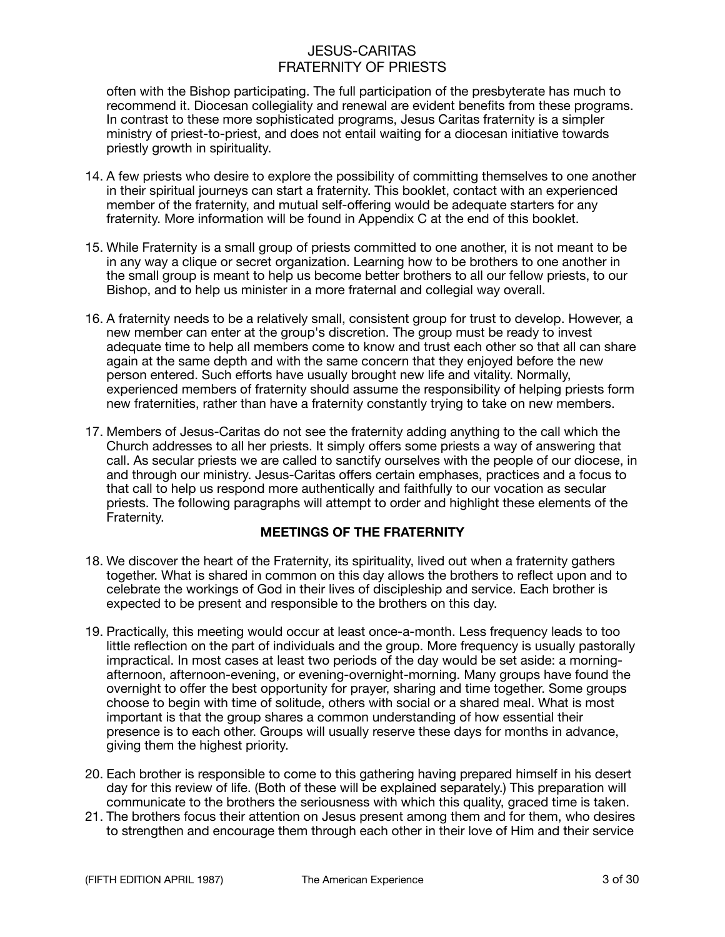often with the Bishop participating. The full participation of the presbyterate has much to recommend it. Diocesan collegiality and renewal are evident benefits from these programs. In contrast to these more sophisticated programs, Jesus Caritas fraternity is a simpler ministry of priest-to-priest, and does not entail waiting for a diocesan initiative towards priestly growth in spirituality.

- 14. A few priests who desire to explore the possibility of committing themselves to one another in their spiritual journeys can start a fraternity. This booklet, contact with an experienced member of the fraternity, and mutual self-offering would be adequate starters for any fraternity. More information will be found in Appendix C at the end of this booklet.
- 15. While Fraternity is a small group of priests committed to one another, it is not meant to be in any way a clique or secret organization. Learning how to be brothers to one another in the small group is meant to help us become better brothers to all our fellow priests, to our Bishop, and to help us minister in a more fraternal and collegial way overall.
- 16. A fraternity needs to be a relatively small, consistent group for trust to develop. However, a new member can enter at the group's discretion. The group must be ready to invest adequate time to help all members come to know and trust each other so that all can share again at the same depth and with the same concern that they enjoyed before the new person entered. Such efforts have usually brought new life and vitality. Normally, experienced members of fraternity should assume the responsibility of helping priests form new fraternities, rather than have a fraternity constantly trying to take on new members.
- 17. Members of Jesus-Caritas do not see the fraternity adding anything to the call which the Church addresses to all her priests. It simply offers some priests a way of answering that call. As secular priests we are called to sanctify ourselves with the people of our diocese, in and through our ministry. Jesus-Caritas offers certain emphases, practices and a focus to that call to help us respond more authentically and faithfully to our vocation as secular priests. The following paragraphs will attempt to order and highlight these elements of the Fraternity.

### **MEETINGS OF THE FRATERNITY**

- 18. We discover the heart of the Fraternity, its spirituality, lived out when a fraternity gathers together. What is shared in common on this day allows the brothers to reflect upon and to celebrate the workings of God in their lives of discipleship and service. Each brother is expected to be present and responsible to the brothers on this day.
- 19. Practically, this meeting would occur at least once-a-month. Less frequency leads to too little reflection on the part of individuals and the group. More frequency is usually pastorally impractical. In most cases at least two periods of the day would be set aside: a morningafternoon, afternoon-evening, or evening-overnight-morning. Many groups have found the overnight to offer the best opportunity for prayer, sharing and time together. Some groups choose to begin with time of solitude, others with social or a shared meal. What is most important is that the group shares a common understanding of how essential their presence is to each other. Groups will usually reserve these days for months in advance, giving them the highest priority.
- 20. Each brother is responsible to come to this gathering having prepared himself in his desert day for this review of life. (Both of these will be explained separately.) This preparation will communicate to the brothers the seriousness with which this quality, graced time is taken.
- 21. The brothers focus their attention on Jesus present among them and for them, who desires to strengthen and encourage them through each other in their love of Him and their service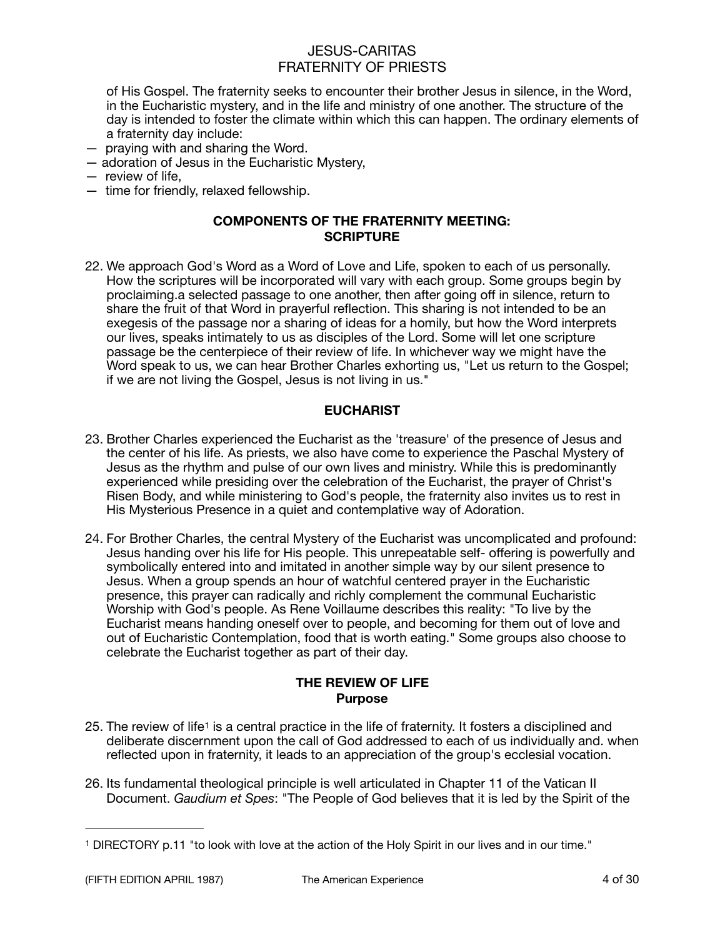of His Gospel. The fraternity seeks to encounter their brother Jesus in silence, in the Word, in the Eucharistic mystery, and in the life and ministry of one another. The structure of the day is intended to foster the climate within which this can happen. The ordinary elements of a fraternity day include:

- praying with and sharing the Word.
- adoration of Jesus in the Eucharistic Mystery,
- review of life,
- time for friendly, relaxed fellowship.

#### **COMPONENTS OF THE FRATERNITY MEETING: SCRIPTURE**

22. We approach God's Word as a Word of Love and Life, spoken to each of us personally. How the scriptures will be incorporated will vary with each group. Some groups begin by proclaiming.a selected passage to one another, then after going off in silence, return to share the fruit of that Word in prayerful reflection. This sharing is not intended to be an exegesis of the passage nor a sharing of ideas for a homily, but how the Word interprets our lives, speaks intimately to us as disciples of the Lord. Some will let one scripture passage be the centerpiece of their review of life. In whichever way we might have the Word speak to us, we can hear Brother Charles exhorting us, "Let us return to the Gospel; if we are not living the Gospel, Jesus is not living in us."

#### **EUCHARIST**

- 23. Brother Charles experienced the Eucharist as the 'treasure' of the presence of Jesus and the center of his life. As priests, we also have come to experience the Paschal Mystery of Jesus as the rhythm and pulse of our own lives and ministry. While this is predominantly experienced while presiding over the celebration of the Eucharist, the prayer of Christ's Risen Body, and while ministering to God's people, the fraternity also invites us to rest in His Mysterious Presence in a quiet and contemplative way of Adoration.
- 24. For Brother Charles, the central Mystery of the Eucharist was uncomplicated and profound: Jesus handing over his life for His people. This unrepeatable self- offering is powerfully and symbolically entered into and imitated in another simple way by our silent presence to Jesus. When a group spends an hour of watchful centered prayer in the Eucharistic presence, this prayer can radically and richly complement the communal Eucharistic Worship with God's people. As Rene Voillaume describes this reality: "To live by the Eucharist means handing oneself over to people, and becoming for them out of love and out of Eucharistic Contemplation, food that is worth eating." Some groups also choose to celebrate the Eucharist together as part of their day.

#### <span id="page-3-1"></span>**THE REVIEW OF LIFE Purpose**

- 25. The review of life[1](#page-3-0) is a central practice in the life of fraternity. It fosters a disciplined and deliberate discernment upon the call of God addressed to each of us individually and. when reflected upon in fraternity, it leads to an appreciation of the group's ecclesial vocation.
- 26. Its fundamental theological principle is well articulated in Chapter 11 of the Vatican II Document. *Gaudium et Spes*: "The People of God believes that it is led by the Spirit of the

<span id="page-3-0"></span><sup>&</sup>lt;sup>[1](#page-3-1)</sup> DIRECTORY p.11 "to look with love at the action of the Holy Spirit in our lives and in our time."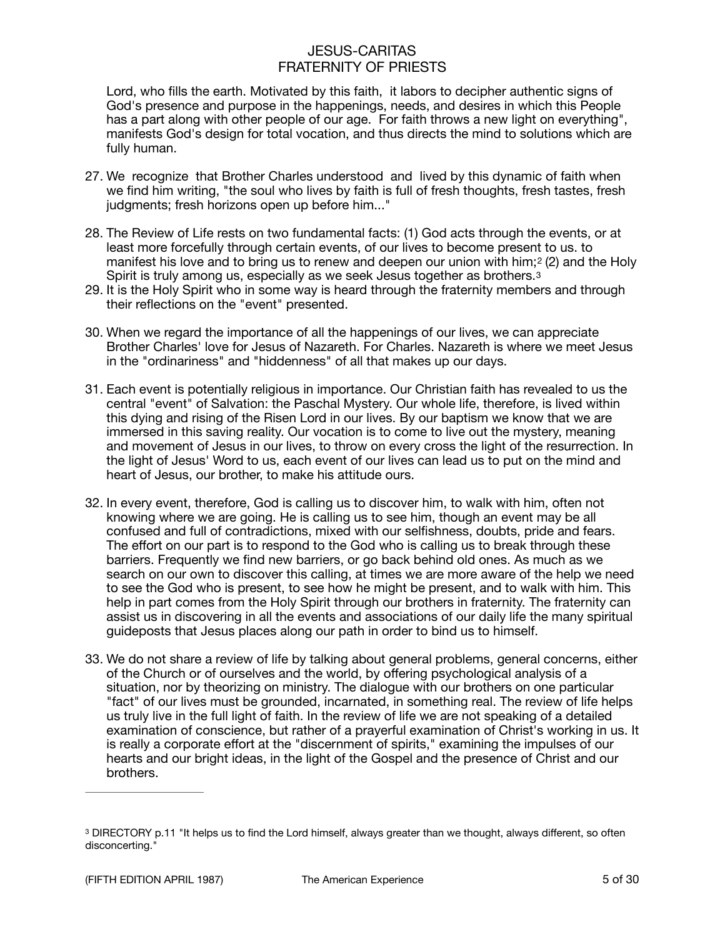Lord, who fills the earth. Motivated by this faith, it labors to decipher authentic signs of God's presence and purpose in the happenings, needs, and desires in which this People has a part along with other people of our age. For faith throws a new light on everything", manifests God's design for total vocation, and thus directs the mind to solutions which are fully human.

- 27. We recognize that Brother Charles understood and lived by this dynamic of faith when we find him writing, "the soul who lives by faith is full of fresh thoughts, fresh tastes, fresh judgments; fresh horizons open up before him..."
- 28. The Review of Life rests on two fundamental facts: (1) God acts through the events, or at least more forcefully through certain events, of our lives to become present to us. to manifest his love and to bring us to renew and deepen our union with him;2 (2) and the Holy Spirit is truly among us, especially as we seek Jesus together as brothers.<sup>[3](#page-4-0)</sup>
- <span id="page-4-1"></span>29. It is the Holy Spirit who in some way is heard through the fraternity members and through their reflections on the "event" presented.
- 30. When we regard the importance of all the happenings of our lives, we can appreciate Brother Charles' love for Jesus of Nazareth. For Charles. Nazareth is where we meet Jesus in the "ordinariness" and "hiddenness" of all that makes up our days.
- 31. Each event is potentially religious in importance. Our Christian faith has revealed to us the central "event" of Salvation: the Paschal Mystery. Our whole life, therefore, is lived within this dying and rising of the Risen Lord in our lives. By our baptism we know that we are immersed in this saving reality. Our vocation is to come to live out the mystery, meaning and movement of Jesus in our lives, to throw on every cross the light of the resurrection. In the light of Jesus' Word to us, each event of our lives can lead us to put on the mind and heart of Jesus, our brother, to make his attitude ours.
- 32. In every event, therefore, God is calling us to discover him, to walk with him, often not knowing where we are going. He is calling us to see him, though an event may be all confused and full of contradictions, mixed with our selfishness, doubts, pride and fears. The effort on our part is to respond to the God who is calling us to break through these barriers. Frequently we find new barriers, or go back behind old ones. As much as we search on our own to discover this calling, at times we are more aware of the help we need to see the God who is present, to see how he might be present, and to walk with him. This help in part comes from the Holy Spirit through our brothers in fraternity. The fraternity can assist us in discovering in all the events and associations of our daily life the many spiritual guideposts that Jesus places along our path in order to bind us to himself.
- 33. We do not share a review of life by talking about general problems, general concerns, either of the Church or of ourselves and the world, by offering psychological analysis of a situation, nor by theorizing on ministry. The dialogue with our brothers on one particular "fact" of our lives must be grounded, incarnated, in something real. The review of life helps us truly live in the full light of faith. In the review of life we are not speaking of a detailed examination of conscience, but rather of a prayerful examination of Christ's working in us. It is really a corporate effort at the "discernment of spirits," examining the impulses of our hearts and our bright ideas, in the light of the Gospel and the presence of Christ and our brothers.

<span id="page-4-0"></span><sup>&</sup>lt;sup>[3](#page-4-1)</sup> DIRECTORY p.11 "It helps us to find the Lord himself, always greater than we thought, always different, so often disconcerting."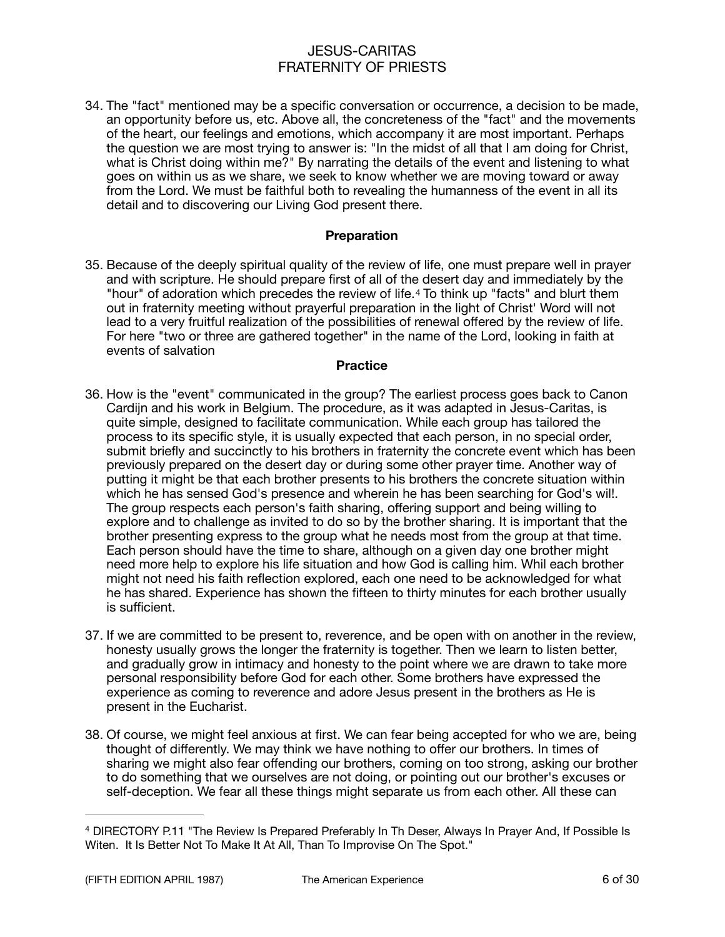34. The "fact" mentioned may be a specific conversation or occurrence, a decision to be made, an opportunity before us, etc. Above all, the concreteness of the "fact" and the movements of the heart, our feelings and emotions, which accompany it are most important. Perhaps the question we are most trying to answer is: "In the midst of all that I am doing for Christ, what is Christ doing within me?" By narrating the details of the event and listening to what goes on within us as we share, we seek to know whether we are moving toward or away from the Lord. We must be faithful both to revealing the humanness of the event in all its detail and to discovering our Living God present there.

#### <span id="page-5-1"></span>**Preparation**

35. Because of the deeply spiritual quality of the review of life, one must prepare well in prayer and with scripture. He should prepare first of all of the desert day and immediately by the "hour" of adoration which precedes the review of life.[4](#page-5-0) To think up "facts" and blurt them out in fraternity meeting without prayerful preparation in the light of Christ' Word will not lead to a very fruitful realization of the possibilities of renewal offered by the review of life. For here "two or three are gathered together" in the name of the Lord, looking in faith at events of salvation

#### **Practice**

- 36. How is the "event" communicated in the group? The earliest process goes back to Canon Cardijn and his work in Belgium. The procedure, as it was adapted in Jesus-Caritas, is quite simple, designed to facilitate communication. While each group has tailored the process to its specific style, it is usually expected that each person, in no special order, submit briefly and succinctly to his brothers in fraternity the concrete event which has been previously prepared on the desert day or during some other prayer time. Another way of putting it might be that each brother presents to his brothers the concrete situation within which he has sensed God's presence and wherein he has been searching for God's wil!. The group respects each person's faith sharing, offering support and being willing to explore and to challenge as invited to do so by the brother sharing. It is important that the brother presenting express to the group what he needs most from the group at that time. Each person should have the time to share, although on a given day one brother might need more help to explore his life situation and how God is calling him. Whil each brother might not need his faith reflection explored, each one need to be acknowledged for what he has shared. Experience has shown the fifteen to thirty minutes for each brother usually is sufficient.
- 37. If we are committed to be present to, reverence, and be open with on another in the review, honesty usually grows the longer the fraternity is together. Then we learn to listen better, and gradually grow in intimacy and honesty to the point where we are drawn to take more personal responsibility before God for each other. Some brothers have expressed the experience as coming to reverence and adore Jesus present in the brothers as He is present in the Eucharist.
- 38. Of course, we might feel anxious at first. We can fear being accepted for who we are, being thought of differently. We may think we have nothing to offer our brothers. In times of sharing we might also fear offending our brothers, coming on too strong, asking our brother to do something that we ourselves are not doing, or pointing out our brother's excuses or self-deception. We fear all these things might separate us from each other. All these can

<span id="page-5-0"></span>DIRECTORY P.11 "The Review Is Prepared Preferably In Th Deser, Always In Prayer And, If Possible Is [4](#page-5-1) Witen. It Is Better Not To Make It At All, Than To Improvise On The Spot."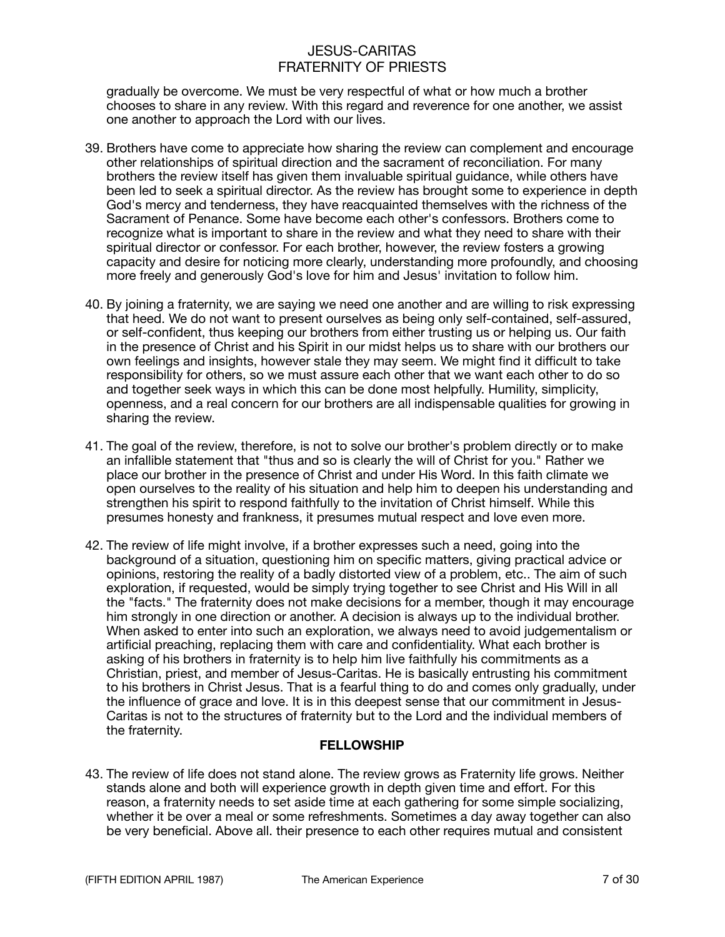gradually be overcome. We must be very respectful of what or how much a brother chooses to share in any review. With this regard and reverence for one another, we assist one another to approach the Lord with our lives.

- 39. Brothers have come to appreciate how sharing the review can complement and encourage other relationships of spiritual direction and the sacrament of reconciliation. For many brothers the review itself has given them invaluable spiritual guidance, while others have been led to seek a spiritual director. As the review has brought some to experience in depth God's mercy and tenderness, they have reacquainted themselves with the richness of the Sacrament of Penance. Some have become each other's confessors. Brothers come to recognize what is important to share in the review and what they need to share with their spiritual director or confessor. For each brother, however, the review fosters a growing capacity and desire for noticing more clearly, understanding more profoundly, and choosing more freely and generously God's love for him and Jesus' invitation to follow him.
- 40. By joining a fraternity, we are saying we need one another and are willing to risk expressing that heed. We do not want to present ourselves as being only self-contained, self-assured, or self-confident, thus keeping our brothers from either trusting us or helping us. Our faith in the presence of Christ and his Spirit in our midst helps us to share with our brothers our own feelings and insights, however stale they may seem. We might find it difficult to take responsibility for others, so we must assure each other that we want each other to do so and together seek ways in which this can be done most helpfully. Humility, simplicity, openness, and a real concern for our brothers are all indispensable qualities for growing in sharing the review.
- 41. The goal of the review, therefore, is not to solve our brother's problem directly or to make an infallible statement that "thus and so is clearly the will of Christ for you." Rather we place our brother in the presence of Christ and under His Word. In this faith climate we open ourselves to the reality of his situation and help him to deepen his understanding and strengthen his spirit to respond faithfully to the invitation of Christ himself. While this presumes honesty and frankness, it presumes mutual respect and love even more.
- 42. The review of life might involve, if a brother expresses such a need, going into the background of a situation, questioning him on specific matters, giving practical advice or opinions, restoring the reality of a badly distorted view of a problem, etc.. The aim of such exploration, if requested, would be simply trying together to see Christ and His Will in all the "facts." The fraternity does not make decisions for a member, though it may encourage him strongly in one direction or another. A decision is always up to the individual brother. When asked to enter into such an exploration, we always need to avoid judgementalism or artificial preaching, replacing them with care and confidentiality. What each brother is asking of his brothers in fraternity is to help him live faithfully his commitments as a Christian, priest, and member of Jesus-Caritas. He is basically entrusting his commitment to his brothers in Christ Jesus. That is a fearful thing to do and comes only gradually, under the influence of grace and love. It is in this deepest sense that our commitment in Jesus-Caritas is not to the structures of fraternity but to the Lord and the individual members of the fraternity.

### **FELLOWSHIP**

43. The review of life does not stand alone. The review grows as Fraternity life grows. Neither stands alone and both will experience growth in depth given time and effort. For this reason, a fraternity needs to set aside time at each gathering for some simple socializing, whether it be over a meal or some refreshments. Sometimes a day away together can also be very beneficial. Above all. their presence to each other requires mutual and consistent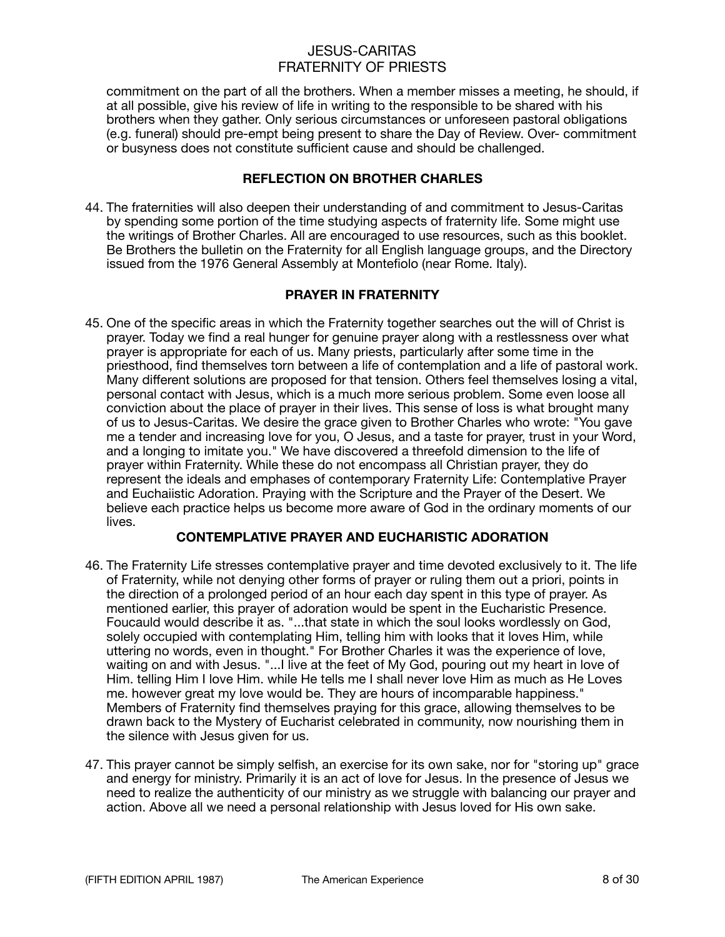commitment on the part of all the brothers. When a member misses a meeting, he should, if at all possible, give his review of life in writing to the responsible to be shared with his brothers when they gather. Only serious circumstances or unforeseen pastoral obligations (e.g. funeral) should pre-empt being present to share the Day of Review. Over- commitment or busyness does not constitute sufficient cause and should be challenged.

### **REFLECTION ON BROTHER CHARLES**

44. The fraternities will also deepen their understanding of and commitment to Jesus-Caritas by spending some portion of the time studying aspects of fraternity life. Some might use the writings of Brother Charles. All are encouraged to use resources, such as this booklet. Be Brothers the bulletin on the Fraternity for all English language groups, and the Directory issued from the 1976 General Assembly at Montefiolo (near Rome. Italy).

### **PRAYER IN FRATERNITY**

45. One of the specific areas in which the Fraternity together searches out the will of Christ is prayer. Today we find a real hunger for genuine prayer along with a restlessness over what prayer is appropriate for each of us. Many priests, particularly after some time in the priesthood, find themselves torn between a life of contemplation and a life of pastoral work. Many different solutions are proposed for that tension. Others feel themselves losing a vital, personal contact with Jesus, which is a much more serious problem. Some even loose all conviction about the place of prayer in their lives. This sense of loss is what brought many of us to Jesus-Caritas. We desire the grace given to Brother Charles who wrote: "You gave me a tender and increasing love for you, O Jesus, and a taste for prayer, trust in your Word, and a longing to imitate you." We have discovered a threefold dimension to the life of prayer within Fraternity. While these do not encompass all Christian prayer, they do represent the ideals and emphases of contemporary Fraternity Life: Contemplative Prayer and Euchaiistic Adoration. Praying with the Scripture and the Prayer of the Desert. We believe each practice helps us become more aware of God in the ordinary moments of our lives.

### **CONTEMPLATIVE PRAYER AND EUCHARISTIC ADORATION**

- 46. The Fraternity Life stresses contemplative prayer and time devoted exclusively to it. The life of Fraternity, while not denying other forms of prayer or ruling them out a priori, points in the direction of a prolonged period of an hour each day spent in this type of prayer. As mentioned earlier, this prayer of adoration would be spent in the Eucharistic Presence. Foucauld would describe it as. "...that state in which the soul looks wordlessly on God, solely occupied with contemplating Him, telling him with looks that it loves Him, while uttering no words, even in thought." For Brother Charles it was the experience of love, waiting on and with Jesus. "...I live at the feet of My God, pouring out my heart in love of Him. telling Him I love Him. while He tells me I shall never love Him as much as He Loves me. however great my love would be. They are hours of incomparable happiness." Members of Fraternity find themselves praying for this grace, allowing themselves to be drawn back to the Mystery of Eucharist celebrated in community, now nourishing them in the silence with Jesus given for us.
- 47. This prayer cannot be simply selfish, an exercise for its own sake, nor for "storing up" grace and energy for ministry. Primarily it is an act of love for Jesus. In the presence of Jesus we need to realize the authenticity of our ministry as we struggle with balancing our prayer and action. Above all we need a personal relationship with Jesus loved for His own sake.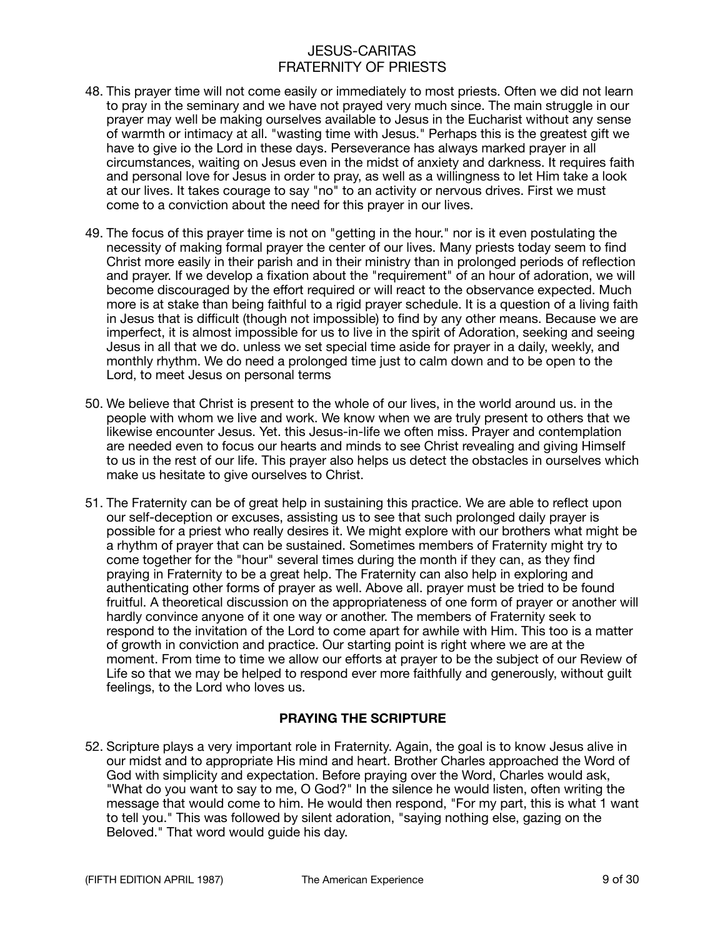- 48. This prayer time will not come easily or immediately to most priests. Often we did not learn to pray in the seminary and we have not prayed very much since. The main struggle in our prayer may well be making ourselves available to Jesus in the Eucharist without any sense of warmth or intimacy at all. "wasting time with Jesus." Perhaps this is the greatest gift we have to give io the Lord in these days. Perseverance has always marked prayer in all circumstances, waiting on Jesus even in the midst of anxiety and darkness. It requires faith and personal love for Jesus in order to pray, as well as a willingness to let Him take a look at our lives. It takes courage to say "no" to an activity or nervous drives. First we must come to a conviction about the need for this prayer in our lives.
- 49. The focus of this prayer time is not on "getting in the hour." nor is it even postulating the necessity of making formal prayer the center of our lives. Many priests today seem to find Christ more easily in their parish and in their ministry than in prolonged periods of reflection and prayer. If we develop a fixation about the "requirement" of an hour of adoration, we will become discouraged by the effort required or will react to the observance expected. Much more is at stake than being faithful to a rigid prayer schedule. It is a question of a living faith in Jesus that is difficult (though not impossible) to find by any other means. Because we are imperfect, it is almost impossible for us to live in the spirit of Adoration, seeking and seeing Jesus in all that we do. unless we set special time aside for prayer in a daily, weekly, and monthly rhythm. We do need a prolonged time just to calm down and to be open to the Lord, to meet Jesus on personal terms
- 50. We believe that Christ is present to the whole of our lives, in the world around us. in the people with whom we live and work. We know when we are truly present to others that we likewise encounter Jesus. Yet. this Jesus-in-life we often miss. Prayer and contemplation are needed even to focus our hearts and minds to see Christ revealing and giving Himself to us in the rest of our life. This prayer also helps us detect the obstacles in ourselves which make us hesitate to give ourselves to Christ.
- 51. The Fraternity can be of great help in sustaining this practice. We are able to reflect upon our self-deception or excuses, assisting us to see that such prolonged daily prayer is possible for a priest who really desires it. We might explore with our brothers what might be a rhythm of prayer that can be sustained. Sometimes members of Fraternity might try to come together for the "hour" several times during the month if they can, as they find praying in Fraternity to be a great help. The Fraternity can also help in exploring and authenticating other forms of prayer as well. Above all. prayer must be tried to be found fruitful. A theoretical discussion on the appropriateness of one form of prayer or another will hardly convince anyone of it one way or another. The members of Fraternity seek to respond to the invitation of the Lord to come apart for awhile with Him. This too is a matter of growth in conviction and practice. Our starting point is right where we are at the moment. From time to time we allow our efforts at prayer to be the subject of our Review of Life so that we may be helped to respond ever more faithfully and generously, without guilt feelings, to the Lord who loves us.

### **PRAYING THE SCRIPTURE**

52. Scripture plays a very important role in Fraternity. Again, the goal is to know Jesus alive in our midst and to appropriate His mind and heart. Brother Charles approached the Word of God with simplicity and expectation. Before praying over the Word, Charles would ask, "What do you want to say to me, O God?" In the silence he would listen, often writing the message that would come to him. He would then respond, "For my part, this is what 1 want to tell you." This was followed by silent adoration, "saying nothing else, gazing on the Beloved." That word would guide his day.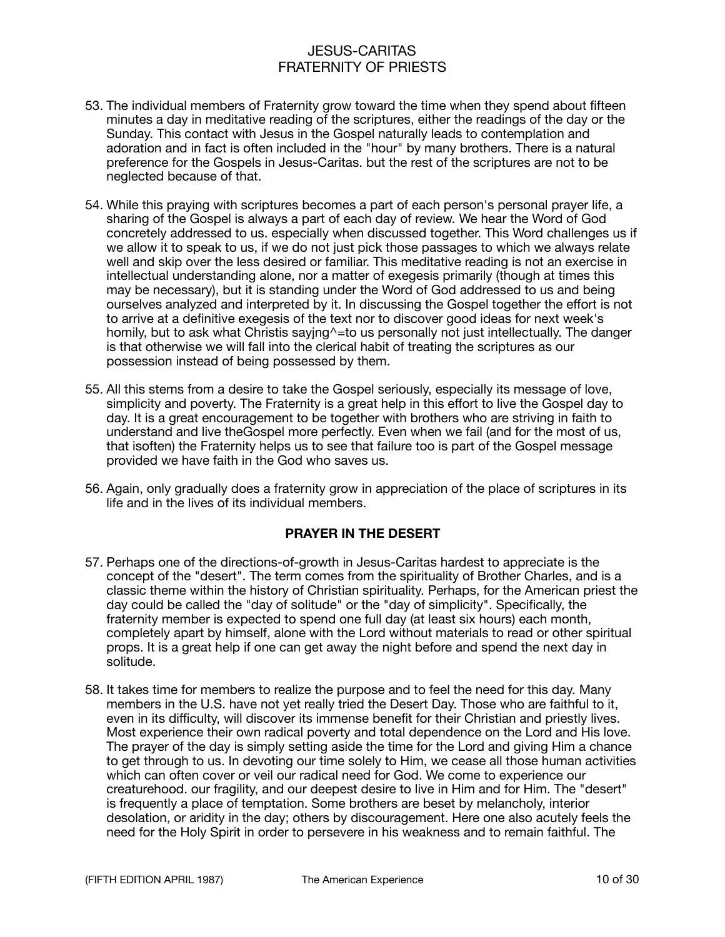- 53. The individual members of Fraternity grow toward the time when they spend about fifteen minutes a day in meditative reading of the scriptures, either the readings of the day or the Sunday. This contact with Jesus in the Gospel naturally leads to contemplation and adoration and in fact is often included in the "hour" by many brothers. There is a natural preference for the Gospels in Jesus-Caritas. but the rest of the scriptures are not to be neglected because of that.
- 54. While this praying with scriptures becomes a part of each person's personal prayer life, a sharing of the Gospel is always a part of each day of review. We hear the Word of God concretely addressed to us. especially when discussed together. This Word challenges us if we allow it to speak to us, if we do not just pick those passages to which we always relate well and skip over the less desired or familiar. This meditative reading is not an exercise in intellectual understanding alone, nor a matter of exegesis primarily (though at times this may be necessary), but it is standing under the Word of God addressed to us and being ourselves analyzed and interpreted by it. In discussing the Gospel together the effort is not to arrive at a definitive exegesis of the text nor to discover good ideas for next week's homily, but to ask what Christis saying^=to us personally not just intellectually. The danger is that otherwise we will fall into the clerical habit of treating the scriptures as our possession instead of being possessed by them.
- 55. All this stems from a desire to take the Gospel seriously, especially its message of love, simplicity and poverty. The Fraternity is a great help in this effort to live the Gospel day to day. It is a great encouragement to be together with brothers who are striving in faith to understand and live theGospel more perfectly. Even when we fail (and for the most of us, that isoften) the Fraternity helps us to see that failure too is part of the Gospel message provided we have faith in the God who saves us.
- 56. Again, only gradually does a fraternity grow in appreciation of the place of scriptures in its life and in the lives of its individual members.

#### **PRAYER IN THE DESERT**

- 57. Perhaps one of the directions-of-growth in Jesus-Caritas hardest to appreciate is the concept of the "desert". The term comes from the spirituality of Brother Charles, and is a classic theme within the history of Christian spirituality. Perhaps, for the American priest the day could be called the "day of solitude" or the "day of simplicity". Specifically, the fraternity member is expected to spend one full day (at least six hours) each month, completely apart by himself, alone with the Lord without materials to read or other spiritual props. It is a great help if one can get away the night before and spend the next day in solitude.
- 58. It takes time for members to realize the purpose and to feel the need for this day. Many members in the U.S. have not yet really tried the Desert Day. Those who are faithful to it, even in its difficulty, will discover its immense benefit for their Christian and priestly lives. Most experience their own radical poverty and total dependence on the Lord and His love. The prayer of the day is simply setting aside the time for the Lord and giving Him a chance to get through to us. In devoting our time solely to Him, we cease all those human activities which can often cover or veil our radical need for God. We come to experience our creaturehood. our fragility, and our deepest desire to live in Him and for Him. The "desert" is frequently a place of temptation. Some brothers are beset by melancholy, interior desolation, or aridity in the day; others by discouragement. Here one also acutely feels the need for the Holy Spirit in order to persevere in his weakness and to remain faithful. The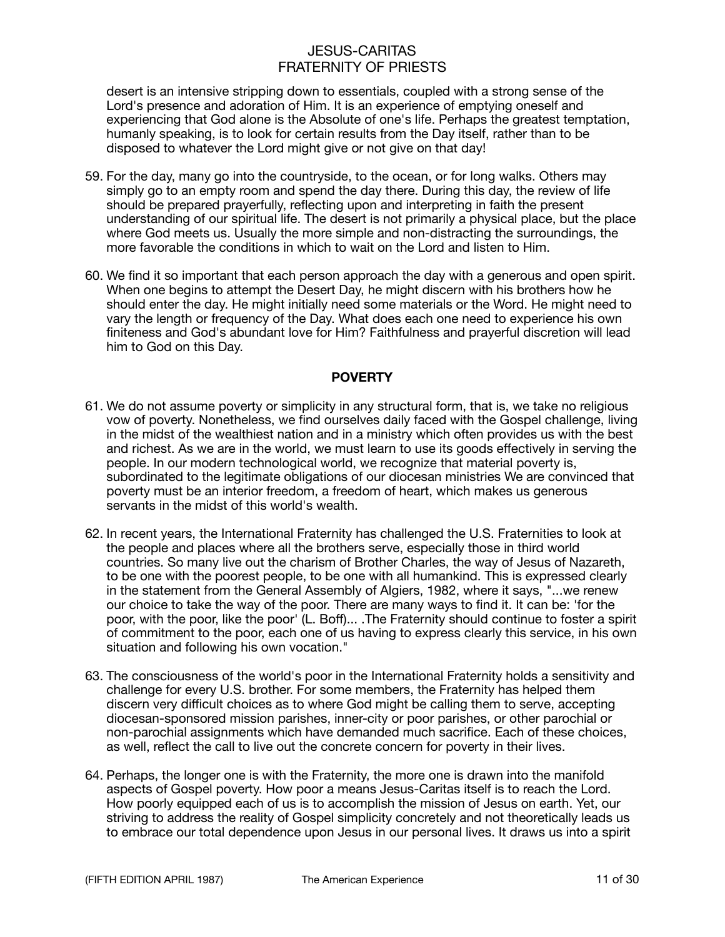desert is an intensive stripping down to essentials, coupled with a strong sense of the Lord's presence and adoration of Him. It is an experience of emptying oneself and experiencing that God alone is the Absolute of one's life. Perhaps the greatest temptation, humanly speaking, is to look for certain results from the Day itself, rather than to be disposed to whatever the Lord might give or not give on that day!

- 59. For the day, many go into the countryside, to the ocean, or for long walks. Others may simply go to an empty room and spend the day there. During this day, the review of life should be prepared prayerfully, reflecting upon and interpreting in faith the present understanding of our spiritual life. The desert is not primarily a physical place, but the place where God meets us. Usually the more simple and non-distracting the surroundings, the more favorable the conditions in which to wait on the Lord and listen to Him.
- 60. We find it so important that each person approach the day with a generous and open spirit. When one begins to attempt the Desert Day, he might discern with his brothers how he should enter the day. He might initially need some materials or the Word. He might need to vary the length or frequency of the Day. What does each one need to experience his own finiteness and God's abundant love for Him? Faithfulness and prayerful discretion will lead him to God on this Day.

### **POVERTY**

- 61. We do not assume poverty or simplicity in any structural form, that is, we take no religious vow of poverty. Nonetheless, we find ourselves daily faced with the Gospel challenge, living in the midst of the wealthiest nation and in a ministry which often provides us with the best and richest. As we are in the world, we must learn to use its goods effectively in serving the people. In our modern technological world, we recognize that material poverty is, subordinated to the legitimate obligations of our diocesan ministries We are convinced that poverty must be an interior freedom, a freedom of heart, which makes us generous servants in the midst of this world's wealth.
- 62. In recent years, the International Fraternity has challenged the U.S. Fraternities to look at the people and places where all the brothers serve, especially those in third world countries. So many live out the charism of Brother Charles, the way of Jesus of Nazareth, to be one with the poorest people, to be one with all humankind. This is expressed clearly in the statement from the General Assembly of Algiers, 1982, where it says, "...we renew our choice to take the way of the poor. There are many ways to find it. It can be: 'for the poor, with the poor, like the poor' (L. Boff)... .The Fraternity should continue to foster a spirit of commitment to the poor, each one of us having to express clearly this service, in his own situation and following his own vocation."
- 63. The consciousness of the world's poor in the International Fraternity holds a sensitivity and challenge for every U.S. brother. For some members, the Fraternity has helped them discern very difficult choices as to where God might be calling them to serve, accepting diocesan-sponsored mission parishes, inner-city or poor parishes, or other parochial or non-parochial assignments which have demanded much sacrifice. Each of these choices, as well, reflect the call to live out the concrete concern for poverty in their lives.
- 64. Perhaps, the longer one is with the Fraternity, the more one is drawn into the manifold aspects of Gospel poverty. How poor a means Jesus-Caritas itself is to reach the Lord. How poorly equipped each of us is to accomplish the mission of Jesus on earth. Yet, our striving to address the reality of Gospel simplicity concretely and not theoretically leads us to embrace our total dependence upon Jesus in our personal lives. It draws us into a spirit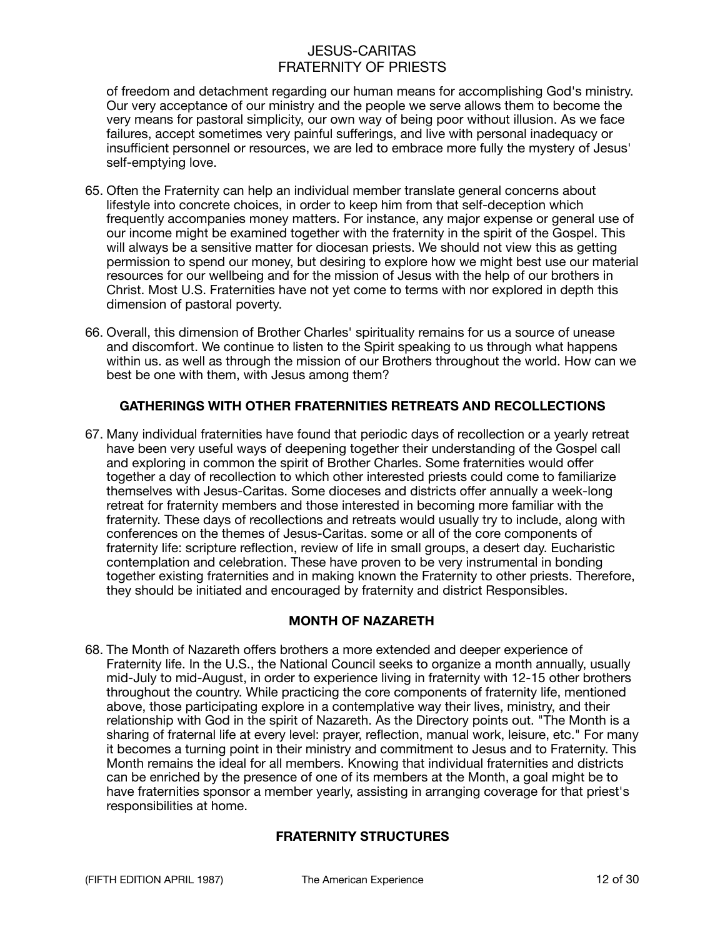of freedom and detachment regarding our human means for accomplishing God's ministry. Our very acceptance of our ministry and the people we serve allows them to become the very means for pastoral simplicity, our own way of being poor without illusion. As we face failures, accept sometimes very painful sufferings, and live with personal inadequacy or insufficient personnel or resources, we are led to embrace more fully the mystery of Jesus' self-emptying love.

- 65. Often the Fraternity can help an individual member translate general concerns about lifestyle into concrete choices, in order to keep him from that self-deception which frequently accompanies money matters. For instance, any major expense or general use of our income might be examined together with the fraternity in the spirit of the Gospel. This will always be a sensitive matter for diocesan priests. We should not view this as getting permission to spend our money, but desiring to explore how we might best use our material resources for our wellbeing and for the mission of Jesus with the help of our brothers in Christ. Most U.S. Fraternities have not yet come to terms with nor explored in depth this dimension of pastoral poverty.
- 66. Overall, this dimension of Brother Charles' spirituality remains for us a source of unease and discomfort. We continue to listen to the Spirit speaking to us through what happens within us. as well as through the mission of our Brothers throughout the world. How can we best be one with them, with Jesus among them?

### **GATHERINGS WITH OTHER FRATERNITIES RETREATS AND RECOLLECTIONS**

67. Many individual fraternities have found that periodic days of recollection or a yearly retreat have been very useful ways of deepening together their understanding of the Gospel call and exploring in common the spirit of Brother Charles. Some fraternities would offer together a day of recollection to which other interested priests could come to familiarize themselves with Jesus-Caritas. Some dioceses and districts offer annually a week-long retreat for fraternity members and those interested in becoming more familiar with the fraternity. These days of recollections and retreats would usually try to include, along with conferences on the themes of Jesus-Caritas. some or all of the core components of fraternity life: scripture reflection, review of life in small groups, a desert day. Eucharistic contemplation and celebration. These have proven to be very instrumental in bonding together existing fraternities and in making known the Fraternity to other priests. Therefore, they should be initiated and encouraged by fraternity and district Responsibles.

### **MONTH OF NAZARETH**

68. The Month of Nazareth offers brothers a more extended and deeper experience of Fraternity life. In the U.S., the National Council seeks to organize a month annually, usually mid-July to mid-August, in order to experience living in fraternity with 12-15 other brothers throughout the country. While practicing the core components of fraternity life, mentioned above, those participating explore in a contemplative way their lives, ministry, and their relationship with God in the spirit of Nazareth. As the Directory points out. "The Month is a sharing of fraternal life at every level: prayer, reflection, manual work, leisure, etc." For many it becomes a turning point in their ministry and commitment to Jesus and to Fraternity. This Month remains the ideal for all members. Knowing that individual fraternities and districts can be enriched by the presence of one of its members at the Month, a goal might be to have fraternities sponsor a member yearly, assisting in arranging coverage for that priest's responsibilities at home.

### **FRATERNITY STRUCTURES**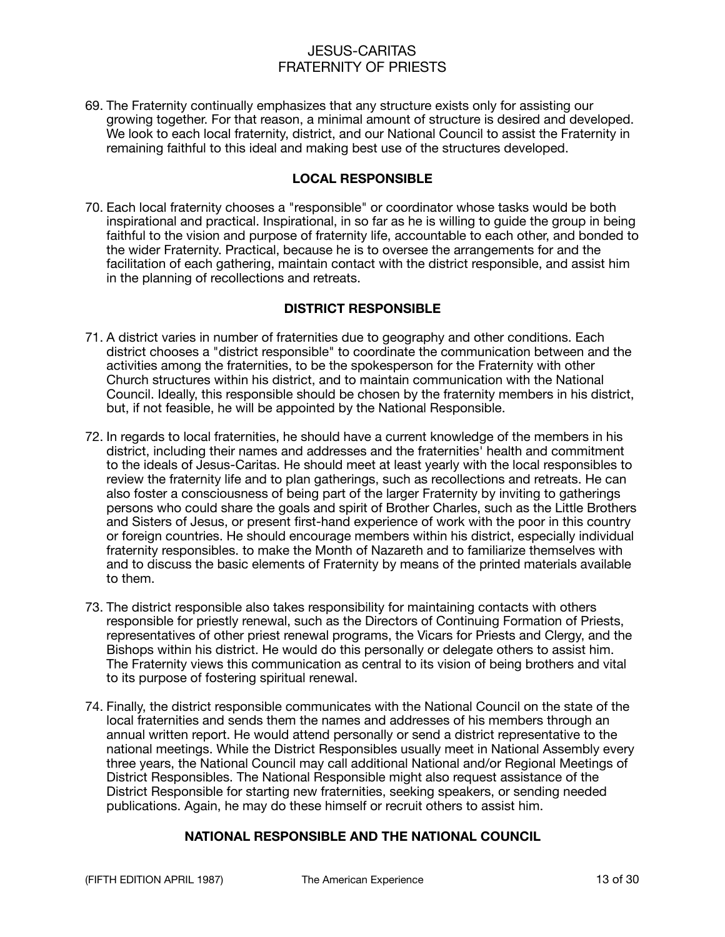69. The Fraternity continually emphasizes that any structure exists only for assisting our growing together. For that reason, a minimal amount of structure is desired and developed. We look to each local fraternity, district, and our National Council to assist the Fraternity in remaining faithful to this ideal and making best use of the structures developed.

#### **LOCAL RESPONSIBLE**

70. Each local fraternity chooses a "responsible" or coordinator whose tasks would be both inspirational and practical. Inspirational, in so far as he is willing to guide the group in being faithful to the vision and purpose of fraternity life, accountable to each other, and bonded to the wider Fraternity. Practical, because he is to oversee the arrangements for and the facilitation of each gathering, maintain contact with the district responsible, and assist him in the planning of recollections and retreats.

### **DISTRICT RESPONSIBLE**

- 71. A district varies in number of fraternities due to geography and other conditions. Each district chooses a "district responsible" to coordinate the communication between and the activities among the fraternities, to be the spokesperson for the Fraternity with other Church structures within his district, and to maintain communication with the National Council. Ideally, this responsible should be chosen by the fraternity members in his district, but, if not feasible, he will be appointed by the National Responsible.
- 72. In regards to local fraternities, he should have a current knowledge of the members in his district, including their names and addresses and the fraternities' health and commitment to the ideals of Jesus-Caritas. He should meet at least yearly with the local responsibles to review the fraternity life and to plan gatherings, such as recollections and retreats. He can also foster a consciousness of being part of the larger Fraternity by inviting to gatherings persons who could share the goals and spirit of Brother Charles, such as the Little Brothers and Sisters of Jesus, or present first-hand experience of work with the poor in this country or foreign countries. He should encourage members within his district, especially individual fraternity responsibles. to make the Month of Nazareth and to familiarize themselves with and to discuss the basic elements of Fraternity by means of the printed materials available to them.
- 73. The district responsible also takes responsibility for maintaining contacts with others responsible for priestly renewal, such as the Directors of Continuing Formation of Priests, representatives of other priest renewal programs, the Vicars for Priests and Clergy, and the Bishops within his district. He would do this personally or delegate others to assist him. The Fraternity views this communication as central to its vision of being brothers and vital to its purpose of fostering spiritual renewal.
- 74. Finally, the district responsible communicates with the National Council on the state of the local fraternities and sends them the names and addresses of his members through an annual written report. He would attend personally or send a district representative to the national meetings. While the District Responsibles usually meet in National Assembly every three years, the National Council may call additional National and/or Regional Meetings of District Responsibles. The National Responsible might also request assistance of the District Responsible for starting new fraternities, seeking speakers, or sending needed publications. Again, he may do these himself or recruit others to assist him.

### **NATIONAL RESPONSIBLE AND THE NATIONAL COUNCIL**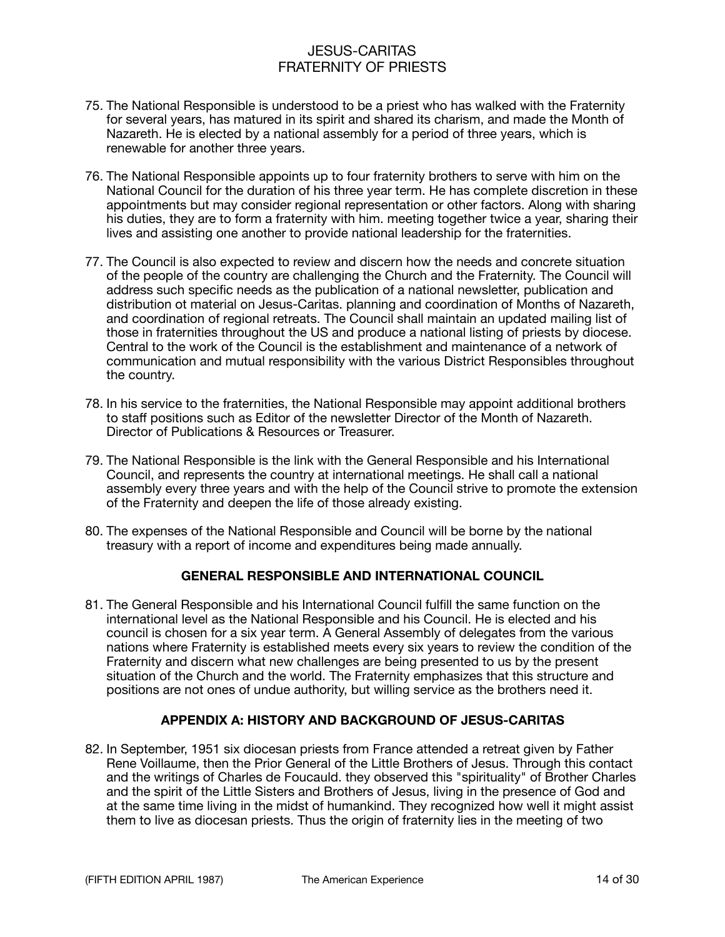- 75. The National Responsible is understood to be a priest who has walked with the Fraternity for several years, has matured in its spirit and shared its charism, and made the Month of Nazareth. He is elected by a national assembly for a period of three years, which is renewable for another three years.
- 76. The National Responsible appoints up to four fraternity brothers to serve with him on the National Council for the duration of his three year term. He has complete discretion in these appointments but may consider regional representation or other factors. Along with sharing his duties, they are to form a fraternity with him. meeting together twice a year, sharing their lives and assisting one another to provide national leadership for the fraternities.
- 77. The Council is also expected to review and discern how the needs and concrete situation of the people of the country are challenging the Church and the Fraternity. The Council will address such specific needs as the publication of a national newsletter, publication and distribution ot material on Jesus-Caritas. planning and coordination of Months of Nazareth, and coordination of regional retreats. The Council shall maintain an updated mailing list of those in fraternities throughout the US and produce a national listing of priests by diocese. Central to the work of the Council is the establishment and maintenance of a network of communication and mutual responsibility with the various District Responsibles throughout the country.
- 78. In his service to the fraternities, the National Responsible may appoint additional brothers to staff positions such as Editor of the newsletter Director of the Month of Nazareth. Director of Publications & Resources or Treasurer.
- 79. The National Responsible is the link with the General Responsible and his International Council, and represents the country at international meetings. He shall call a national assembly every three years and with the help of the Council strive to promote the extension of the Fraternity and deepen the life of those already existing.
- 80. The expenses of the National Responsible and Council will be borne by the national treasury with a report of income and expenditures being made annually.

### **GENERAL RESPONSIBLE AND INTERNATIONAL COUNCIL**

81. The General Responsible and his International Council fulfill the same function on the international level as the National Responsible and his Council. He is elected and his council is chosen for a six year term. A General Assembly of delegates from the various nations where Fraternity is established meets every six years to review the condition of the Fraternity and discern what new challenges are being presented to us by the present situation of the Church and the world. The Fraternity emphasizes that this structure and positions are not ones of undue authority, but willing service as the brothers need it.

### **APPENDIX A: HISTORY AND BACKGROUND OF JESUS-CARITAS**

82. In September, 1951 six diocesan priests from France attended a retreat given by Father Rene Voillaume, then the Prior General of the Little Brothers of Jesus. Through this contact and the writings of Charles de Foucauld. they observed this "spirituality" of Brother Charles and the spirit of the Little Sisters and Brothers of Jesus, living in the presence of God and at the same time living in the midst of humankind. They recognized how well it might assist them to live as diocesan priests. Thus the origin of fraternity lies in the meeting of two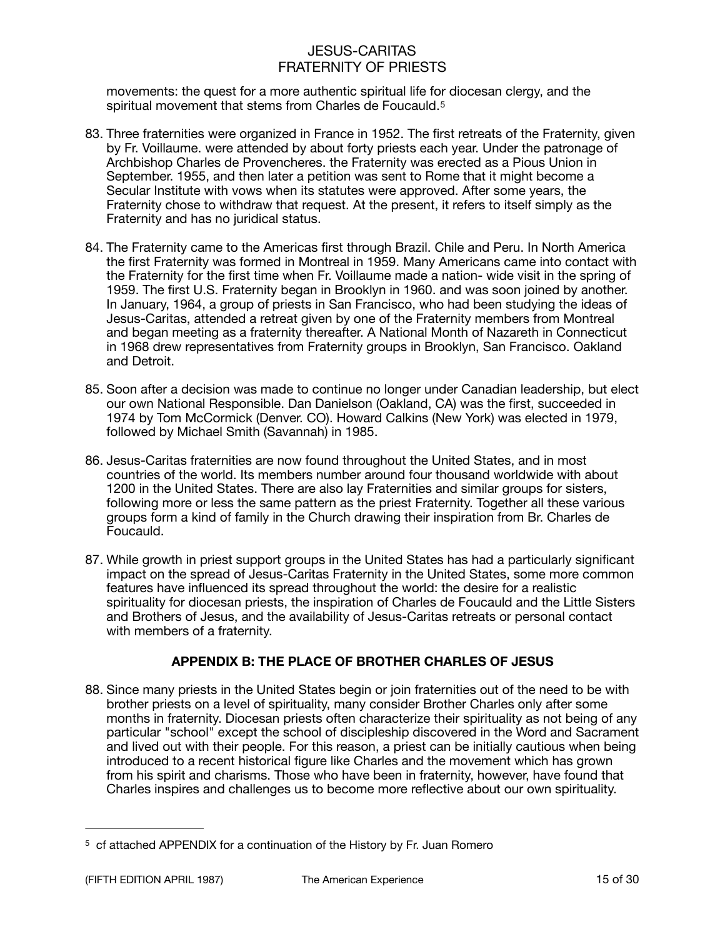<span id="page-14-1"></span>movements: the quest for a more authentic spiritual life for diocesan clergy, and the spiritual movement that stems from Charles de Foucauld.<sup>[5](#page-14-0)</sup>

- 83. Three fraternities were organized in France in 1952. The first retreats of the Fraternity, given by Fr. Voillaume. were attended by about forty priests each year. Under the patronage of Archbishop Charles de Provencheres. the Fraternity was erected as a Pious Union in September. 1955, and then later a petition was sent to Rome that it might become a Secular Institute with vows when its statutes were approved. After some years, the Fraternity chose to withdraw that request. At the present, it refers to itself simply as the Fraternity and has no juridical status.
- 84. The Fraternity came to the Americas first through Brazil. Chile and Peru. In North America the first Fraternity was formed in Montreal in 1959. Many Americans came into contact with the Fraternity for the first time when Fr. Voillaume made a nation- wide visit in the spring of 1959. The first U.S. Fraternity began in Brooklyn in 1960. and was soon joined by another. In January, 1964, a group of priests in San Francisco, who had been studying the ideas of Jesus-Caritas, attended a retreat given by one of the Fraternity members from Montreal and began meeting as a fraternity thereafter. A National Month of Nazareth in Connecticut in 1968 drew representatives from Fraternity groups in Brooklyn, San Francisco. Oakland and Detroit.
- 85. Soon after a decision was made to continue no longer under Canadian leadership, but elect our own National Responsible. Dan Danielson (Oakland, CA) was the first, succeeded in 1974 by Tom McCormick (Denver. CO). Howard Calkins (New York) was elected in 1979, followed by Michael Smith (Savannah) in 1985.
- 86. Jesus-Caritas fraternities are now found throughout the United States, and in most countries of the world. Its members number around four thousand worldwide with about 1200 in the United States. There are also lay Fraternities and similar groups for sisters, following more or less the same pattern as the priest Fraternity. Together all these various groups form a kind of family in the Church drawing their inspiration from Br. Charles de Foucauld.
- 87. While growth in priest support groups in the United States has had a particularly significant impact on the spread of Jesus-Caritas Fraternity in the United States, some more common features have influenced its spread throughout the world: the desire for a realistic spirituality for diocesan priests, the inspiration of Charles de Foucauld and the Little Sisters and Brothers of Jesus, and the availability of Jesus-Caritas retreats or personal contact with members of a fraternity.

## **APPENDIX B: THE PLACE OF BROTHER CHARLES OF JESUS**

88. Since many priests in the United States begin or join fraternities out of the need to be with brother priests on a level of spirituality, many consider Brother Charles only after some months in fraternity. Diocesan priests often characterize their spirituality as not being of any particular "school" except the school of discipleship discovered in the Word and Sacrament and lived out with their people. For this reason, a priest can be initially cautious when being introduced to a recent historical figure like Charles and the movement which has grown from his spirit and charisms. Those who have been in fraternity, however, have found that Charles inspires and challenges us to become more reflective about our own spirituality.

<span id="page-14-0"></span> $5$  cf attached APPENDIX for a continuation of the History by Fr. Juan Romero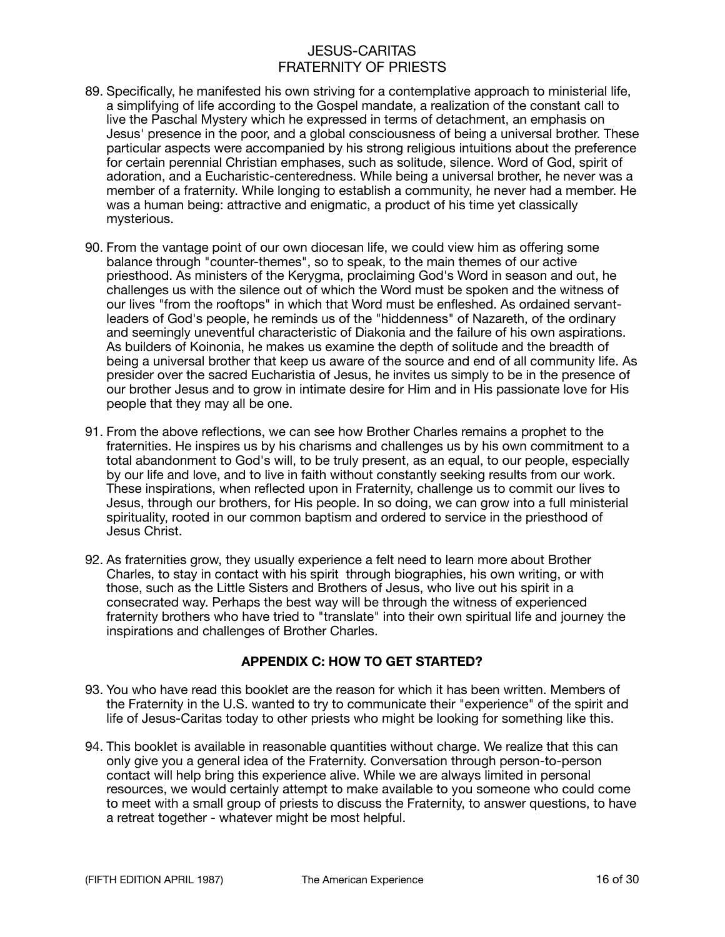- 89. Specifically, he manifested his own striving for a contemplative approach to ministerial life, a simplifying of life according to the Gospel mandate, a realization of the constant call to live the Paschal Mystery which he expressed in terms of detachment, an emphasis on Jesus' presence in the poor, and a global consciousness of being a universal brother. These particular aspects were accompanied by his strong religious intuitions about the preference for certain perennial Christian emphases, such as solitude, silence. Word of God, spirit of adoration, and a Eucharistic-centeredness. While being a universal brother, he never was a member of a fraternity. While longing to establish a community, he never had a member. He was a human being: attractive and enigmatic, a product of his time yet classically mysterious.
- 90. From the vantage point of our own diocesan life, we could view him as offering some balance through "counter-themes", so to speak, to the main themes of our active priesthood. As ministers of the Kerygma, proclaiming God's Word in season and out, he challenges us with the silence out of which the Word must be spoken and the witness of our lives "from the rooftops" in which that Word must be enfleshed. As ordained servantleaders of God's people, he reminds us of the "hiddenness" of Nazareth, of the ordinary and seemingly uneventful characteristic of Diakonia and the failure of his own aspirations. As builders of Koinonia, he makes us examine the depth of solitude and the breadth of being a universal brother that keep us aware of the source and end of all community life. As presider over the sacred Eucharistia of Jesus, he invites us simply to be in the presence of our brother Jesus and to grow in intimate desire for Him and in His passionate love for His people that they may all be one.
- 91. From the above reflections, we can see how Brother Charles remains a prophet to the fraternities. He inspires us by his charisms and challenges us by his own commitment to a total abandonment to God's will, to be truly present, as an equal, to our people, especially by our life and love, and to live in faith without constantly seeking results from our work. These inspirations, when reflected upon in Fraternity, challenge us to commit our lives to Jesus, through our brothers, for His people. In so doing, we can grow into a full ministerial spirituality, rooted in our common baptism and ordered to service in the priesthood of Jesus Christ.
- 92. As fraternities grow, they usually experience a felt need to learn more about Brother Charles, to stay in contact with his spirit through biographies, his own writing, or with those, such as the Little Sisters and Brothers of Jesus, who live out his spirit in a consecrated way. Perhaps the best way will be through the witness of experienced fraternity brothers who have tried to "translate" into their own spiritual life and journey the inspirations and challenges of Brother Charles.

### **APPENDIX C: HOW TO GET STARTED?**

- 93. You who have read this booklet are the reason for which it has been written. Members of the Fraternity in the U.S. wanted to try to communicate their "experience" of the spirit and life of Jesus-Caritas today to other priests who might be looking for something like this.
- 94. This booklet is available in reasonable quantities without charge. We realize that this can only give you a general idea of the Fraternity. Conversation through person-to-person contact will help bring this experience alive. While we are always limited in personal resources, we would certainly attempt to make available to you someone who could come to meet with a small group of priests to discuss the Fraternity, to answer questions, to have a retreat together - whatever might be most helpful.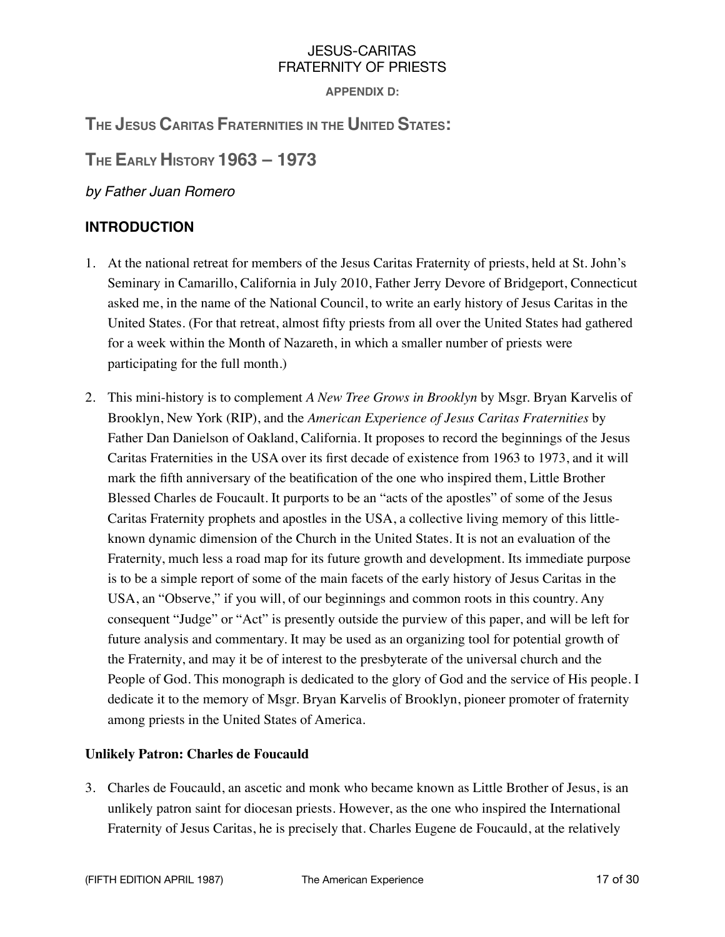**APPENDIX D:** 

# **THE JESUS CARITAS FRATERNITIES IN THE UNITED STATES:**

**THE EARLY HISTORY 1963 – 1973** 

*by Father Juan Romero* 

# **INTRODUCTION**

- 1. At the national retreat for members of the Jesus Caritas Fraternity of priests, held at St. John's Seminary in Camarillo, California in July 2010, Father Jerry Devore of Bridgeport, Connecticut asked me, in the name of the National Council, to write an early history of Jesus Caritas in the United States. (For that retreat, almost fifty priests from all over the United States had gathered for a week within the Month of Nazareth, in which a smaller number of priests were participating for the full month.)
- 2. This mini-history is to complement *A New Tree Grows in Brooklyn* by Msgr. Bryan Karvelis of Brooklyn, New York (RIP), and the *American Experience of Jesus Caritas Fraternities* by Father Dan Danielson of Oakland, California. It proposes to record the beginnings of the Jesus Caritas Fraternities in the USA over its first decade of existence from 1963 to 1973, and it will mark the fifth anniversary of the beatification of the one who inspired them, Little Brother Blessed Charles de Foucault. It purports to be an "acts of the apostles" of some of the Jesus Caritas Fraternity prophets and apostles in the USA, a collective living memory of this littleknown dynamic dimension of the Church in the United States. It is not an evaluation of the Fraternity, much less a road map for its future growth and development. Its immediate purpose is to be a simple report of some of the main facets of the early history of Jesus Caritas in the USA, an "Observe," if you will, of our beginnings and common roots in this country. Any consequent "Judge" or "Act" is presently outside the purview of this paper, and will be left for future analysis and commentary. It may be used as an organizing tool for potential growth of the Fraternity, and may it be of interest to the presbyterate of the universal church and the People of God. This monograph is dedicated to the glory of God and the service of His people. I dedicate it to the memory of Msgr. Bryan Karvelis of Brooklyn, pioneer promoter of fraternity among priests in the United States of America.

## **Unlikely Patron: Charles de Foucauld**

3. Charles de Foucauld, an ascetic and monk who became known as Little Brother of Jesus, is an unlikely patron saint for diocesan priests. However, as the one who inspired the International Fraternity of Jesus Caritas, he is precisely that. Charles Eugene de Foucauld, at the relatively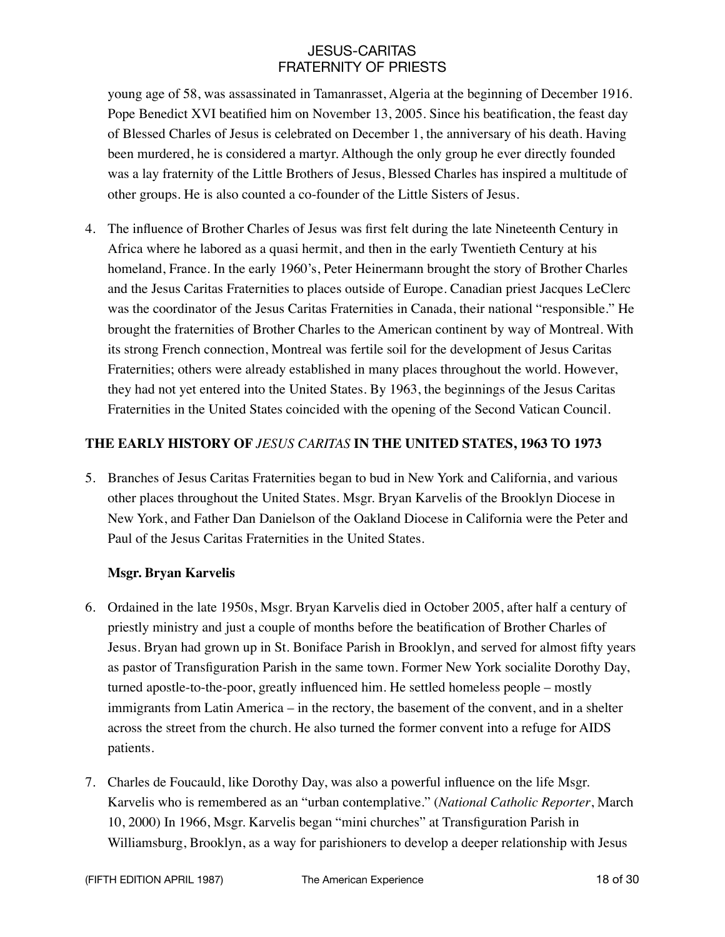young age of 58, was assassinated in Tamanrasset, Algeria at the beginning of December 1916. Pope Benedict XVI beatified him on November 13, 2005. Since his beatification, the feast day of Blessed Charles of Jesus is celebrated on December 1, the anniversary of his death. Having been murdered, he is considered a martyr. Although the only group he ever directly founded was a lay fraternity of the Little Brothers of Jesus, Blessed Charles has inspired a multitude of other groups. He is also counted a co-founder of the Little Sisters of Jesus.

4. The influence of Brother Charles of Jesus was first felt during the late Nineteenth Century in Africa where he labored as a quasi hermit, and then in the early Twentieth Century at his homeland, France. In the early 1960's, Peter Heinermann brought the story of Brother Charles and the Jesus Caritas Fraternities to places outside of Europe. Canadian priest Jacques LeClerc was the coordinator of the Jesus Caritas Fraternities in Canada, their national "responsible." He brought the fraternities of Brother Charles to the American continent by way of Montreal. With its strong French connection, Montreal was fertile soil for the development of Jesus Caritas Fraternities; others were already established in many places throughout the world. However, they had not yet entered into the United States. By 1963, the beginnings of the Jesus Caritas Fraternities in the United States coincided with the opening of the Second Vatican Council.

## **THE EARLY HISTORY OF** *JESUS CARITAS* **IN THE UNITED STATES, 1963 TO 1973**

5. Branches of Jesus Caritas Fraternities began to bud in New York and California, and various other places throughout the United States. Msgr. Bryan Karvelis of the Brooklyn Diocese in New York, and Father Dan Danielson of the Oakland Diocese in California were the Peter and Paul of the Jesus Caritas Fraternities in the United States.

### **Msgr. Bryan Karvelis**

- 6. Ordained in the late 1950s, Msgr. Bryan Karvelis died in October 2005, after half a century of priestly ministry and just a couple of months before the beatification of Brother Charles of Jesus. Bryan had grown up in St. Boniface Parish in Brooklyn, and served for almost fifty years as pastor of Transfiguration Parish in the same town. Former New York socialite Dorothy Day, turned apostle-to-the-poor, greatly influenced him. He settled homeless people – mostly immigrants from Latin America – in the rectory, the basement of the convent, and in a shelter across the street from the church. He also turned the former convent into a refuge for AIDS patients.
- 7. Charles de Foucauld, like Dorothy Day, was also a powerful influence on the life Msgr. Karvelis who is remembered as an "urban contemplative." (*National Catholic Reporter*, March 10, 2000) In 1966, Msgr. Karvelis began "mini churches" at Transfiguration Parish in Williamsburg, Brooklyn, as a way for parishioners to develop a deeper relationship with Jesus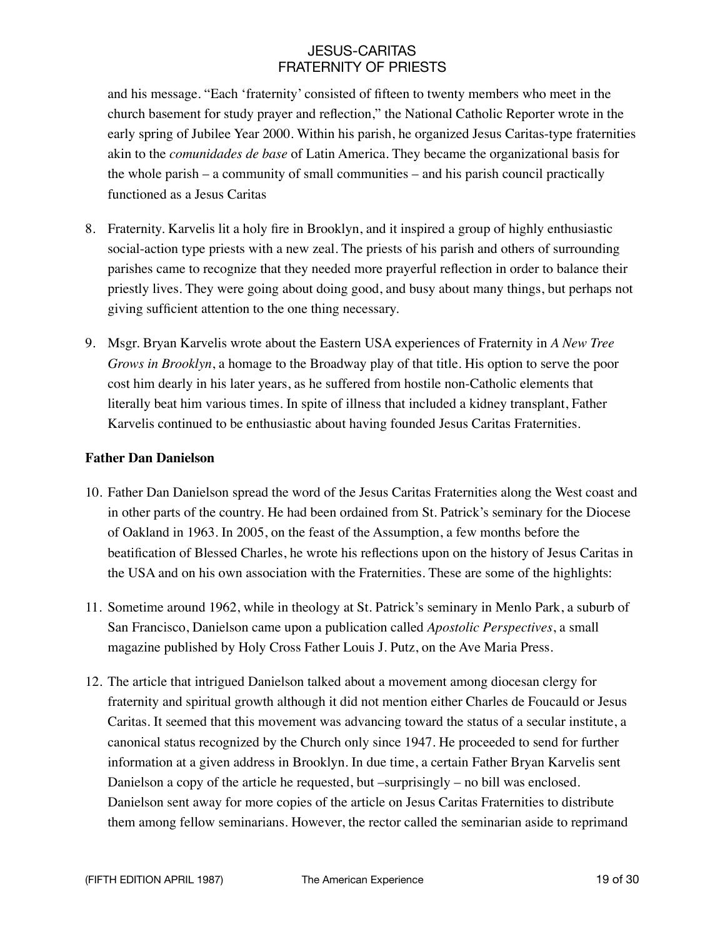and his message. "Each 'fraternity' consisted of fifteen to twenty members who meet in the church basement for study prayer and reflection," the National Catholic Reporter wrote in the early spring of Jubilee Year 2000. Within his parish, he organized Jesus Caritas-type fraternities akin to the *comunidades de base* of Latin America. They became the organizational basis for the whole parish – a community of small communities – and his parish council practically functioned as a Jesus Caritas

- 8. Fraternity. Karvelis lit a holy fire in Brooklyn, and it inspired a group of highly enthusiastic social-action type priests with a new zeal. The priests of his parish and others of surrounding parishes came to recognize that they needed more prayerful reflection in order to balance their priestly lives. They were going about doing good, and busy about many things, but perhaps not giving sufficient attention to the one thing necessary.
- 9. Msgr. Bryan Karvelis wrote about the Eastern USA experiences of Fraternity in *A New Tree Grows in Brooklyn*, a homage to the Broadway play of that title. His option to serve the poor cost him dearly in his later years, as he suffered from hostile non-Catholic elements that literally beat him various times. In spite of illness that included a kidney transplant, Father Karvelis continued to be enthusiastic about having founded Jesus Caritas Fraternities.

### **Father Dan Danielson**

- 10. Father Dan Danielson spread the word of the Jesus Caritas Fraternities along the West coast and in other parts of the country. He had been ordained from St. Patrick's seminary for the Diocese of Oakland in 1963. In 2005, on the feast of the Assumption, a few months before the beatification of Blessed Charles, he wrote his reflections upon on the history of Jesus Caritas in the USA and on his own association with the Fraternities. These are some of the highlights:
- 11. Sometime around 1962, while in theology at St. Patrick's seminary in Menlo Park, a suburb of San Francisco, Danielson came upon a publication called *Apostolic Perspectives*, a small magazine published by Holy Cross Father Louis J. Putz, on the Ave Maria Press.
- 12. The article that intrigued Danielson talked about a movement among diocesan clergy for fraternity and spiritual growth although it did not mention either Charles de Foucauld or Jesus Caritas. It seemed that this movement was advancing toward the status of a secular institute, a canonical status recognized by the Church only since 1947. He proceeded to send for further information at a given address in Brooklyn. In due time, a certain Father Bryan Karvelis sent Danielson a copy of the article he requested, but –surprisingly – no bill was enclosed. Danielson sent away for more copies of the article on Jesus Caritas Fraternities to distribute them among fellow seminarians. However, the rector called the seminarian aside to reprimand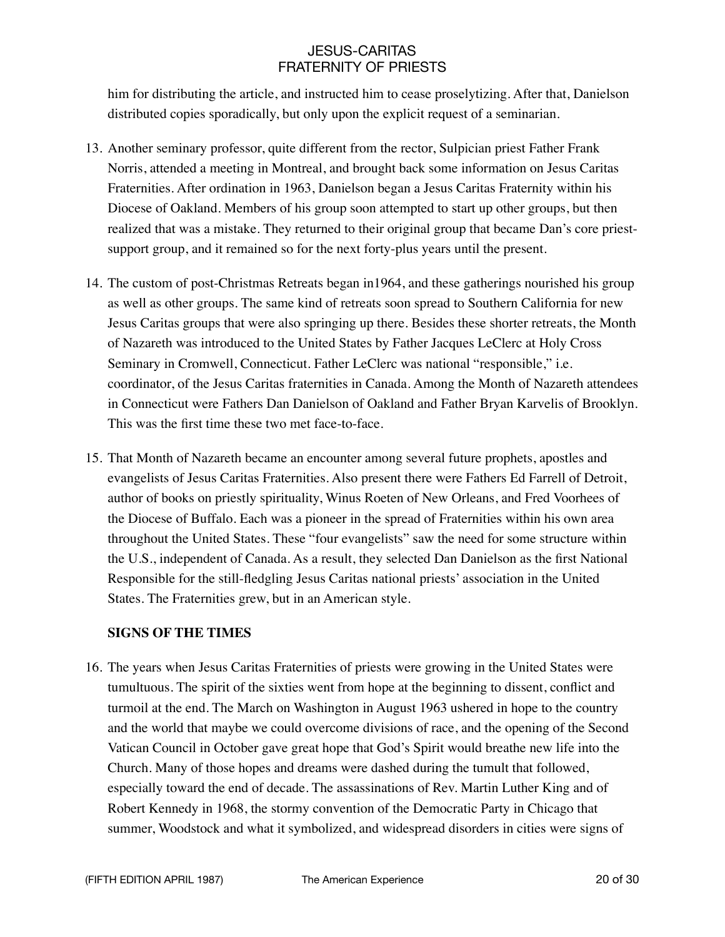him for distributing the article, and instructed him to cease proselytizing. After that, Danielson distributed copies sporadically, but only upon the explicit request of a seminarian.

- 13. Another seminary professor, quite different from the rector, Sulpician priest Father Frank Norris, attended a meeting in Montreal, and brought back some information on Jesus Caritas Fraternities. After ordination in 1963, Danielson began a Jesus Caritas Fraternity within his Diocese of Oakland. Members of his group soon attempted to start up other groups, but then realized that was a mistake. They returned to their original group that became Dan's core priestsupport group, and it remained so for the next forty-plus years until the present.
- 14. The custom of post-Christmas Retreats began in1964, and these gatherings nourished his group as well as other groups. The same kind of retreats soon spread to Southern California for new Jesus Caritas groups that were also springing up there. Besides these shorter retreats, the Month of Nazareth was introduced to the United States by Father Jacques LeClerc at Holy Cross Seminary in Cromwell, Connecticut. Father LeClerc was national "responsible," i.e. coordinator, of the Jesus Caritas fraternities in Canada. Among the Month of Nazareth attendees in Connecticut were Fathers Dan Danielson of Oakland and Father Bryan Karvelis of Brooklyn. This was the first time these two met face-to-face.
- 15. That Month of Nazareth became an encounter among several future prophets, apostles and evangelists of Jesus Caritas Fraternities. Also present there were Fathers Ed Farrell of Detroit, author of books on priestly spirituality, Winus Roeten of New Orleans, and Fred Voorhees of the Diocese of Buffalo. Each was a pioneer in the spread of Fraternities within his own area throughout the United States. These "four evangelists" saw the need for some structure within the U.S., independent of Canada. As a result, they selected Dan Danielson as the first National Responsible for the still-fledgling Jesus Caritas national priests' association in the United States. The Fraternities grew, but in an American style.

### **SIGNS OF THE TIMES**

16. The years when Jesus Caritas Fraternities of priests were growing in the United States were tumultuous. The spirit of the sixties went from hope at the beginning to dissent, conflict and turmoil at the end. The March on Washington in August 1963 ushered in hope to the country and the world that maybe we could overcome divisions of race, and the opening of the Second Vatican Council in October gave great hope that God's Spirit would breathe new life into the Church. Many of those hopes and dreams were dashed during the tumult that followed, especially toward the end of decade. The assassinations of Rev. Martin Luther King and of Robert Kennedy in 1968, the stormy convention of the Democratic Party in Chicago that summer, Woodstock and what it symbolized, and widespread disorders in cities were signs of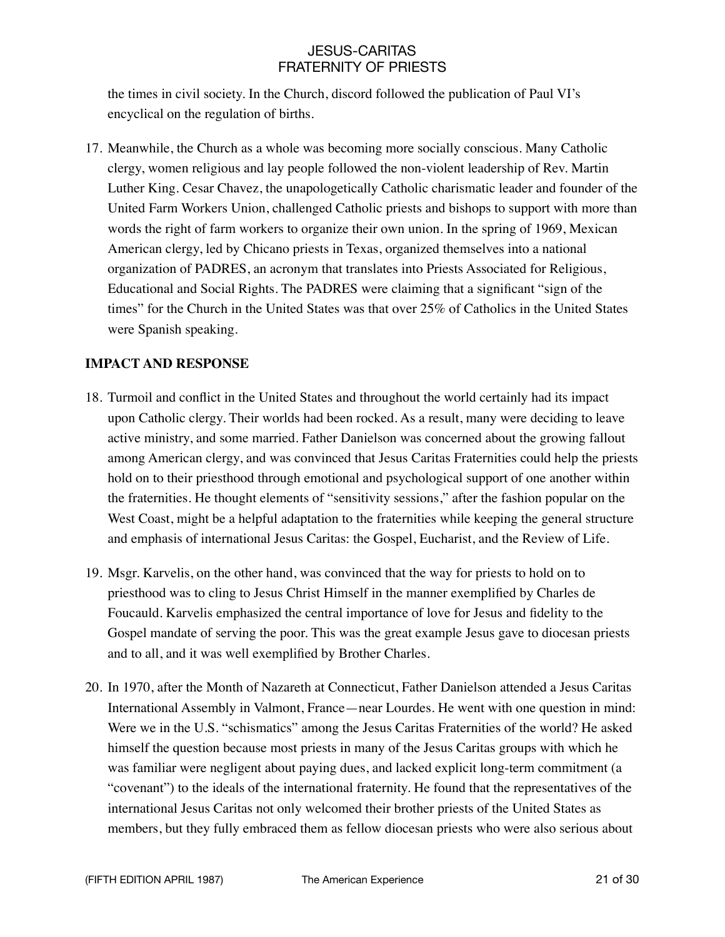the times in civil society. In the Church, discord followed the publication of Paul VI's encyclical on the regulation of births.

17. Meanwhile, the Church as a whole was becoming more socially conscious. Many Catholic clergy, women religious and lay people followed the non-violent leadership of Rev. Martin Luther King. Cesar Chavez, the unapologetically Catholic charismatic leader and founder of the United Farm Workers Union, challenged Catholic priests and bishops to support with more than words the right of farm workers to organize their own union. In the spring of 1969, Mexican American clergy, led by Chicano priests in Texas, organized themselves into a national organization of PADRES, an acronym that translates into Priests Associated for Religious, Educational and Social Rights. The PADRES were claiming that a significant "sign of the times" for the Church in the United States was that over 25% of Catholics in the United States were Spanish speaking.

## **IMPACT AND RESPONSE**

- 18. Turmoil and conflict in the United States and throughout the world certainly had its impact upon Catholic clergy. Their worlds had been rocked. As a result, many were deciding to leave active ministry, and some married. Father Danielson was concerned about the growing fallout among American clergy, and was convinced that Jesus Caritas Fraternities could help the priests hold on to their priesthood through emotional and psychological support of one another within the fraternities. He thought elements of "sensitivity sessions," after the fashion popular on the West Coast, might be a helpful adaptation to the fraternities while keeping the general structure and emphasis of international Jesus Caritas: the Gospel, Eucharist, and the Review of Life.
- 19. Msgr. Karvelis, on the other hand, was convinced that the way for priests to hold on to priesthood was to cling to Jesus Christ Himself in the manner exemplified by Charles de Foucauld. Karvelis emphasized the central importance of love for Jesus and fidelity to the Gospel mandate of serving the poor. This was the great example Jesus gave to diocesan priests and to all, and it was well exemplified by Brother Charles.
- 20. In 1970, after the Month of Nazareth at Connecticut, Father Danielson attended a Jesus Caritas International Assembly in Valmont, France—near Lourdes. He went with one question in mind: Were we in the U.S. "schismatics" among the Jesus Caritas Fraternities of the world? He asked himself the question because most priests in many of the Jesus Caritas groups with which he was familiar were negligent about paying dues, and lacked explicit long-term commitment (a "covenant") to the ideals of the international fraternity. He found that the representatives of the international Jesus Caritas not only welcomed their brother priests of the United States as members, but they fully embraced them as fellow diocesan priests who were also serious about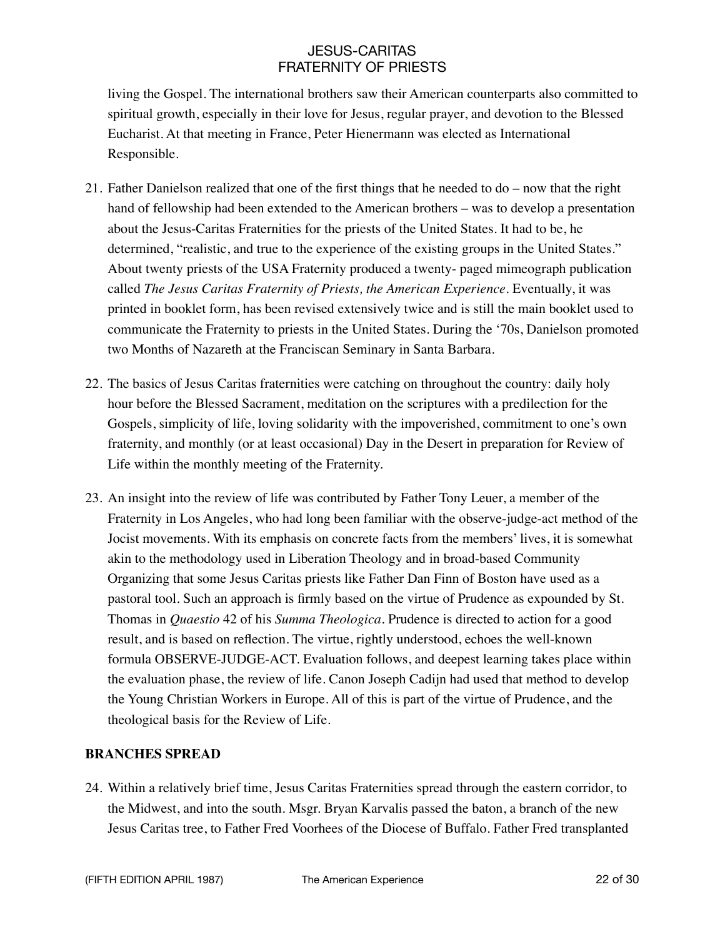living the Gospel. The international brothers saw their American counterparts also committed to spiritual growth, especially in their love for Jesus, regular prayer, and devotion to the Blessed Eucharist. At that meeting in France, Peter Hienermann was elected as International Responsible.

- 21. Father Danielson realized that one of the first things that he needed to do now that the right hand of fellowship had been extended to the American brothers – was to develop a presentation about the Jesus-Caritas Fraternities for the priests of the United States. It had to be, he determined, "realistic, and true to the experience of the existing groups in the United States." About twenty priests of the USA Fraternity produced a twenty- paged mimeograph publication called *The Jesus Caritas Fraternity of Priests, the American Experience*. Eventually, it was printed in booklet form, has been revised extensively twice and is still the main booklet used to communicate the Fraternity to priests in the United States. During the '70s, Danielson promoted two Months of Nazareth at the Franciscan Seminary in Santa Barbara.
- 22. The basics of Jesus Caritas fraternities were catching on throughout the country: daily holy hour before the Blessed Sacrament, meditation on the scriptures with a predilection for the Gospels, simplicity of life, loving solidarity with the impoverished, commitment to one's own fraternity, and monthly (or at least occasional) Day in the Desert in preparation for Review of Life within the monthly meeting of the Fraternity.
- 23. An insight into the review of life was contributed by Father Tony Leuer, a member of the Fraternity in Los Angeles, who had long been familiar with the observe-judge-act method of the Jocist movements. With its emphasis on concrete facts from the members' lives, it is somewhat akin to the methodology used in Liberation Theology and in broad-based Community Organizing that some Jesus Caritas priests like Father Dan Finn of Boston have used as a pastoral tool. Such an approach is firmly based on the virtue of Prudence as expounded by St. Thomas in *Quaestio* 42 of his *Summa Theologica*. Prudence is directed to action for a good result, and is based on reflection. The virtue, rightly understood, echoes the well-known formula OBSERVE-JUDGE-ACT. Evaluation follows, and deepest learning takes place within the evaluation phase, the review of life. Canon Joseph Cadijn had used that method to develop the Young Christian Workers in Europe. All of this is part of the virtue of Prudence, and the theological basis for the Review of Life.

### **BRANCHES SPREAD**

24. Within a relatively brief time, Jesus Caritas Fraternities spread through the eastern corridor, to the Midwest, and into the south. Msgr. Bryan Karvalis passed the baton, a branch of the new Jesus Caritas tree, to Father Fred Voorhees of the Diocese of Buffalo. Father Fred transplanted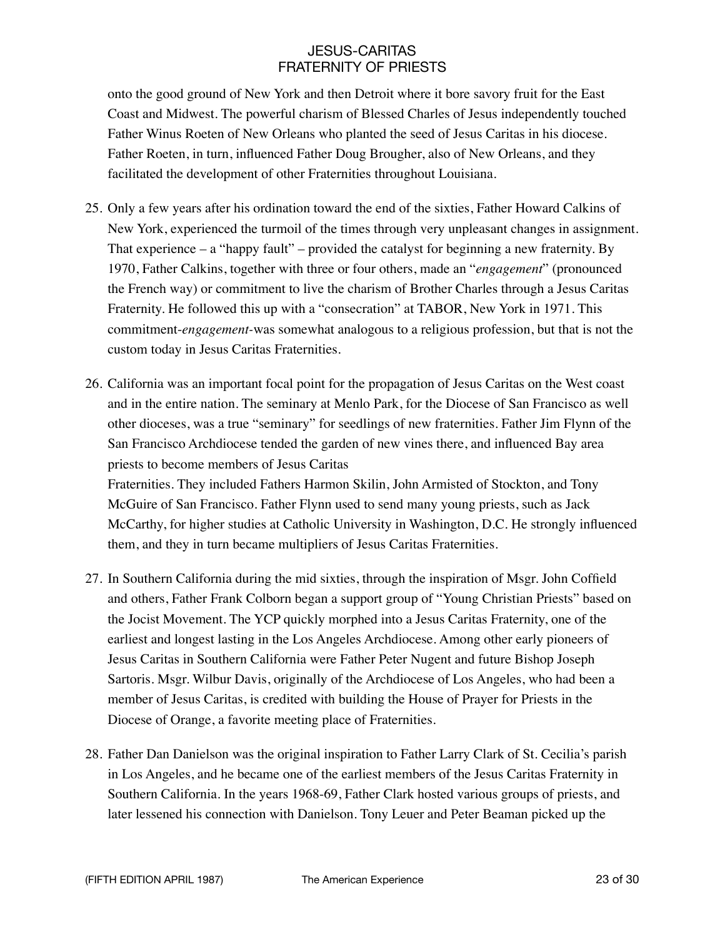onto the good ground of New York and then Detroit where it bore savory fruit for the East Coast and Midwest. The powerful charism of Blessed Charles of Jesus independently touched Father Winus Roeten of New Orleans who planted the seed of Jesus Caritas in his diocese. Father Roeten, in turn, influenced Father Doug Brougher, also of New Orleans, and they facilitated the development of other Fraternities throughout Louisiana.

- 25. Only a few years after his ordination toward the end of the sixties, Father Howard Calkins of New York, experienced the turmoil of the times through very unpleasant changes in assignment. That experience – a "happy fault" – provided the catalyst for beginning a new fraternity. By 1970, Father Calkins, together with three or four others, made an "*engagement*" (pronounced the French way) or commitment to live the charism of Brother Charles through a Jesus Caritas Fraternity. He followed this up with a "consecration" at TABOR, New York in 1971. This commitment-*engagement-*was somewhat analogous to a religious profession, but that is not the custom today in Jesus Caritas Fraternities.
- 26. California was an important focal point for the propagation of Jesus Caritas on the West coast and in the entire nation. The seminary at Menlo Park, for the Diocese of San Francisco as well other dioceses, was a true "seminary" for seedlings of new fraternities. Father Jim Flynn of the San Francisco Archdiocese tended the garden of new vines there, and influenced Bay area priests to become members of Jesus Caritas

Fraternities. They included Fathers Harmon Skilin, John Armisted of Stockton, and Tony McGuire of San Francisco. Father Flynn used to send many young priests, such as Jack McCarthy, for higher studies at Catholic University in Washington, D.C. He strongly influenced them, and they in turn became multipliers of Jesus Caritas Fraternities.

- 27. In Southern California during the mid sixties, through the inspiration of Msgr. John Coffield and others, Father Frank Colborn began a support group of "Young Christian Priests" based on the Jocist Movement. The YCP quickly morphed into a Jesus Caritas Fraternity, one of the earliest and longest lasting in the Los Angeles Archdiocese. Among other early pioneers of Jesus Caritas in Southern California were Father Peter Nugent and future Bishop Joseph Sartoris. Msgr. Wilbur Davis, originally of the Archdiocese of Los Angeles, who had been a member of Jesus Caritas, is credited with building the House of Prayer for Priests in the Diocese of Orange, a favorite meeting place of Fraternities.
- 28. Father Dan Danielson was the original inspiration to Father Larry Clark of St. Cecilia's parish in Los Angeles, and he became one of the earliest members of the Jesus Caritas Fraternity in Southern California. In the years 1968-69, Father Clark hosted various groups of priests, and later lessened his connection with Danielson. Tony Leuer and Peter Beaman picked up the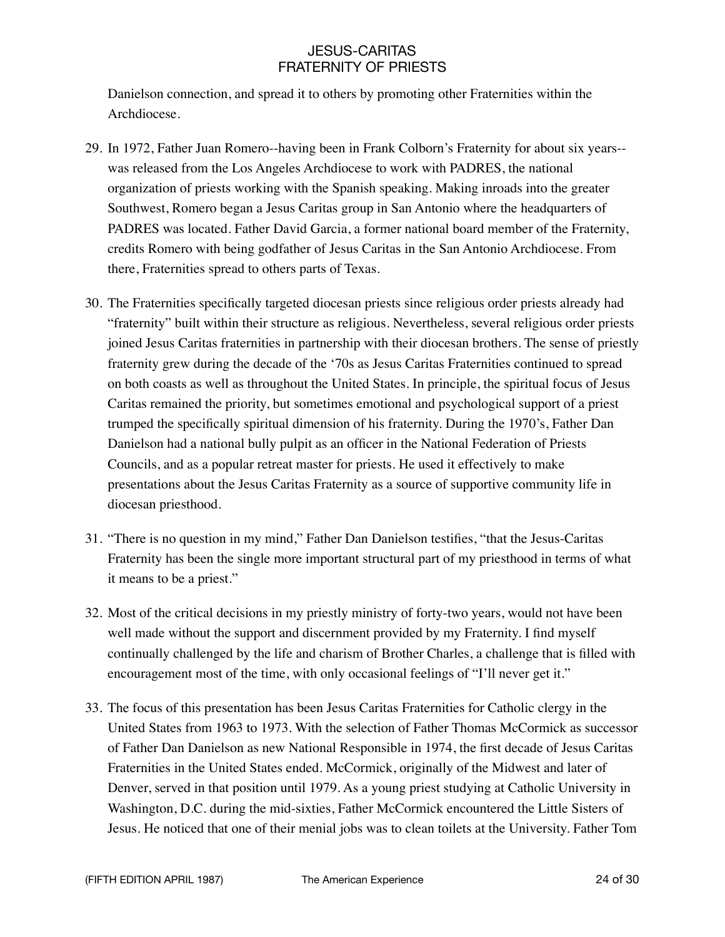Danielson connection, and spread it to others by promoting other Fraternities within the Archdiocese.

- 29. In 1972, Father Juan Romero--having been in Frank Colborn's Fraternity for about six years- was released from the Los Angeles Archdiocese to work with PADRES, the national organization of priests working with the Spanish speaking. Making inroads into the greater Southwest, Romero began a Jesus Caritas group in San Antonio where the headquarters of PADRES was located. Father David Garcia, a former national board member of the Fraternity, credits Romero with being godfather of Jesus Caritas in the San Antonio Archdiocese. From there, Fraternities spread to others parts of Texas.
- 30. The Fraternities specifically targeted diocesan priests since religious order priests already had "fraternity" built within their structure as religious. Nevertheless, several religious order priests joined Jesus Caritas fraternities in partnership with their diocesan brothers. The sense of priestly fraternity grew during the decade of the '70s as Jesus Caritas Fraternities continued to spread on both coasts as well as throughout the United States. In principle, the spiritual focus of Jesus Caritas remained the priority, but sometimes emotional and psychological support of a priest trumped the specifically spiritual dimension of his fraternity. During the 1970's, Father Dan Danielson had a national bully pulpit as an officer in the National Federation of Priests Councils, and as a popular retreat master for priests. He used it effectively to make presentations about the Jesus Caritas Fraternity as a source of supportive community life in diocesan priesthood.
- 31. "There is no question in my mind," Father Dan Danielson testifies, "that the Jesus-Caritas Fraternity has been the single more important structural part of my priesthood in terms of what it means to be a priest."
- 32. Most of the critical decisions in my priestly ministry of forty-two years, would not have been well made without the support and discernment provided by my Fraternity. I find myself continually challenged by the life and charism of Brother Charles, a challenge that is filled with encouragement most of the time, with only occasional feelings of "I'll never get it."
- 33. The focus of this presentation has been Jesus Caritas Fraternities for Catholic clergy in the United States from 1963 to 1973. With the selection of Father Thomas McCormick as successor of Father Dan Danielson as new National Responsible in 1974, the first decade of Jesus Caritas Fraternities in the United States ended. McCormick, originally of the Midwest and later of Denver, served in that position until 1979. As a young priest studying at Catholic University in Washington, D.C. during the mid-sixties, Father McCormick encountered the Little Sisters of Jesus. He noticed that one of their menial jobs was to clean toilets at the University. Father Tom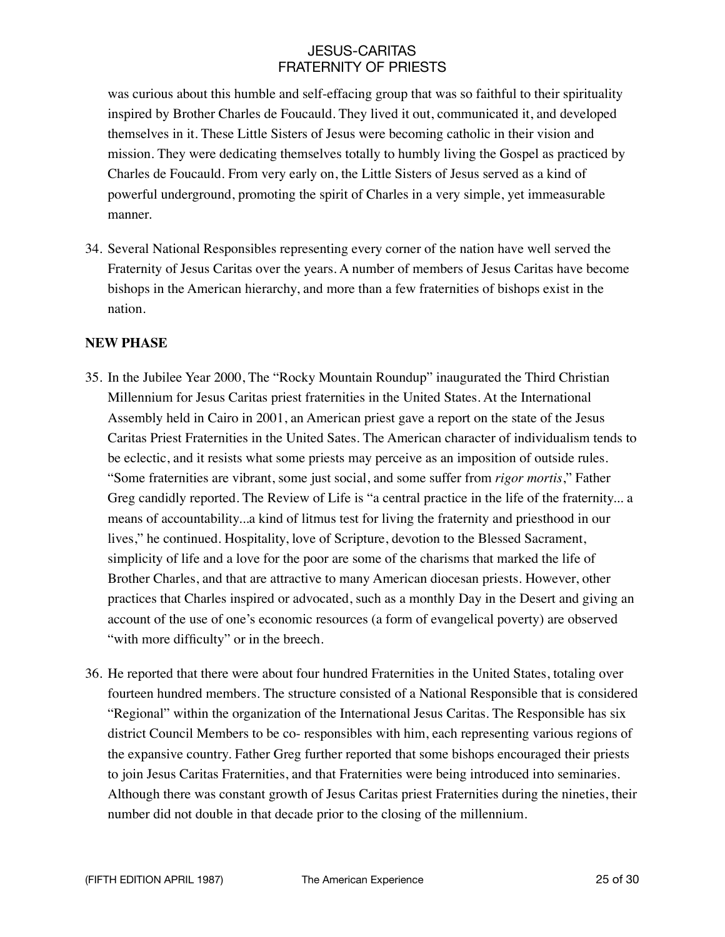was curious about this humble and self-effacing group that was so faithful to their spirituality inspired by Brother Charles de Foucauld. They lived it out, communicated it, and developed themselves in it. These Little Sisters of Jesus were becoming catholic in their vision and mission. They were dedicating themselves totally to humbly living the Gospel as practiced by Charles de Foucauld. From very early on, the Little Sisters of Jesus served as a kind of powerful underground, promoting the spirit of Charles in a very simple, yet immeasurable manner.

34. Several National Responsibles representing every corner of the nation have well served the Fraternity of Jesus Caritas over the years. A number of members of Jesus Caritas have become bishops in the American hierarchy, and more than a few fraternities of bishops exist in the nation.

### **NEW PHASE**

- 35. In the Jubilee Year 2000, The "Rocky Mountain Roundup" inaugurated the Third Christian Millennium for Jesus Caritas priest fraternities in the United States. At the International Assembly held in Cairo in 2001, an American priest gave a report on the state of the Jesus Caritas Priest Fraternities in the United Sates. The American character of individualism tends to be eclectic, and it resists what some priests may perceive as an imposition of outside rules. "Some fraternities are vibrant, some just social, and some suffer from *rigor mortis*," Father Greg candidly reported. The Review of Life is "a central practice in the life of the fraternity... a means of accountability...a kind of litmus test for living the fraternity and priesthood in our lives," he continued. Hospitality, love of Scripture, devotion to the Blessed Sacrament, simplicity of life and a love for the poor are some of the charisms that marked the life of Brother Charles, and that are attractive to many American diocesan priests. However, other practices that Charles inspired or advocated, such as a monthly Day in the Desert and giving an account of the use of one's economic resources (a form of evangelical poverty) are observed "with more difficulty" or in the breech.
- 36. He reported that there were about four hundred Fraternities in the United States, totaling over fourteen hundred members. The structure consisted of a National Responsible that is considered "Regional" within the organization of the International Jesus Caritas. The Responsible has six district Council Members to be co- responsibles with him, each representing various regions of the expansive country. Father Greg further reported that some bishops encouraged their priests to join Jesus Caritas Fraternities, and that Fraternities were being introduced into seminaries. Although there was constant growth of Jesus Caritas priest Fraternities during the nineties, their number did not double in that decade prior to the closing of the millennium.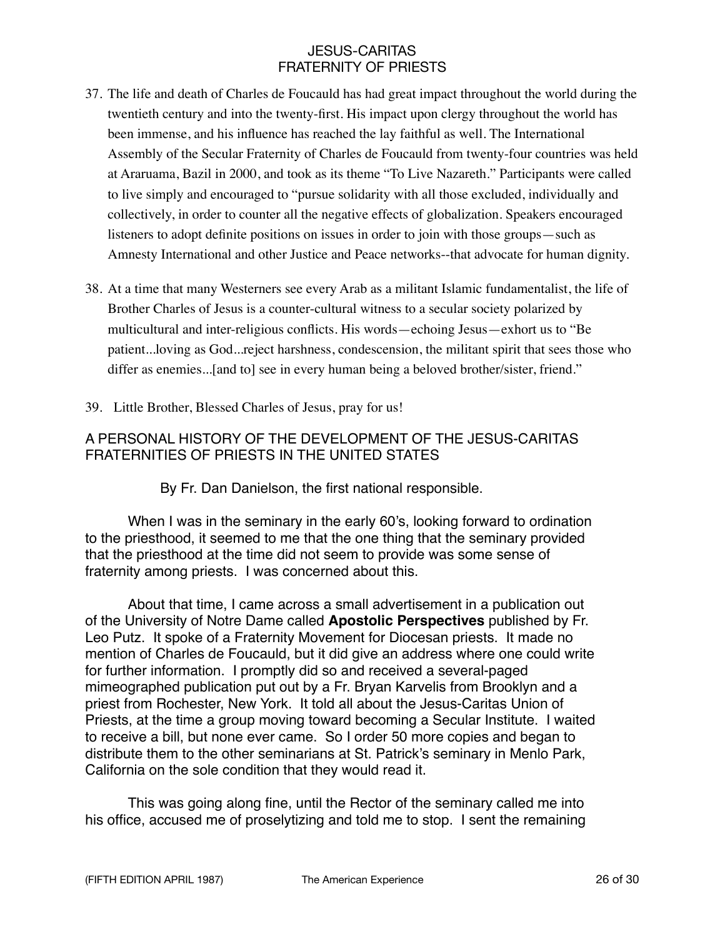- 37. The life and death of Charles de Foucauld has had great impact throughout the world during the twentieth century and into the twenty-first. His impact upon clergy throughout the world has been immense, and his influence has reached the lay faithful as well. The International Assembly of the Secular Fraternity of Charles de Foucauld from twenty-four countries was held at Araruama, Bazil in 2000, and took as its theme "To Live Nazareth." Participants were called to live simply and encouraged to "pursue solidarity with all those excluded, individually and collectively, in order to counter all the negative effects of globalization. Speakers encouraged listeners to adopt definite positions on issues in order to join with those groups—such as Amnesty International and other Justice and Peace networks--that advocate for human dignity.
- 38. At a time that many Westerners see every Arab as a militant Islamic fundamentalist, the life of Brother Charles of Jesus is a counter-cultural witness to a secular society polarized by multicultural and inter-religious conflicts. His words—echoing Jesus—exhort us to "Be patient...loving as God...reject harshness, condescension, the militant spirit that sees those who differ as enemies...[and to] see in every human being a beloved brother/sister, friend."
- 39. Little Brother, Blessed Charles of Jesus, pray for us!

## A PERSONAL HISTORY OF THE DEVELOPMENT OF THE JESUS-CARITAS FRATERNITIES OF PRIESTS IN THE UNITED STATES

### By Fr. Dan Danielson, the first national responsible.

When I was in the seminary in the early 60's, looking forward to ordination to the priesthood, it seemed to me that the one thing that the seminary provided that the priesthood at the time did not seem to provide was some sense of fraternity among priests. I was concerned about this.

About that time, I came across a small advertisement in a publication out of the University of Notre Dame called **Apostolic Perspectives** published by Fr. Leo Putz. It spoke of a Fraternity Movement for Diocesan priests. It made no mention of Charles de Foucauld, but it did give an address where one could write for further information. I promptly did so and received a several-paged mimeographed publication put out by a Fr. Bryan Karvelis from Brooklyn and a priest from Rochester, New York. It told all about the Jesus-Caritas Union of Priests, at the time a group moving toward becoming a Secular Institute. I waited to receive a bill, but none ever came. So I order 50 more copies and began to distribute them to the other seminarians at St. Patrick's seminary in Menlo Park, California on the sole condition that they would read it.

This was going along fine, until the Rector of the seminary called me into his office, accused me of proselytizing and told me to stop. I sent the remaining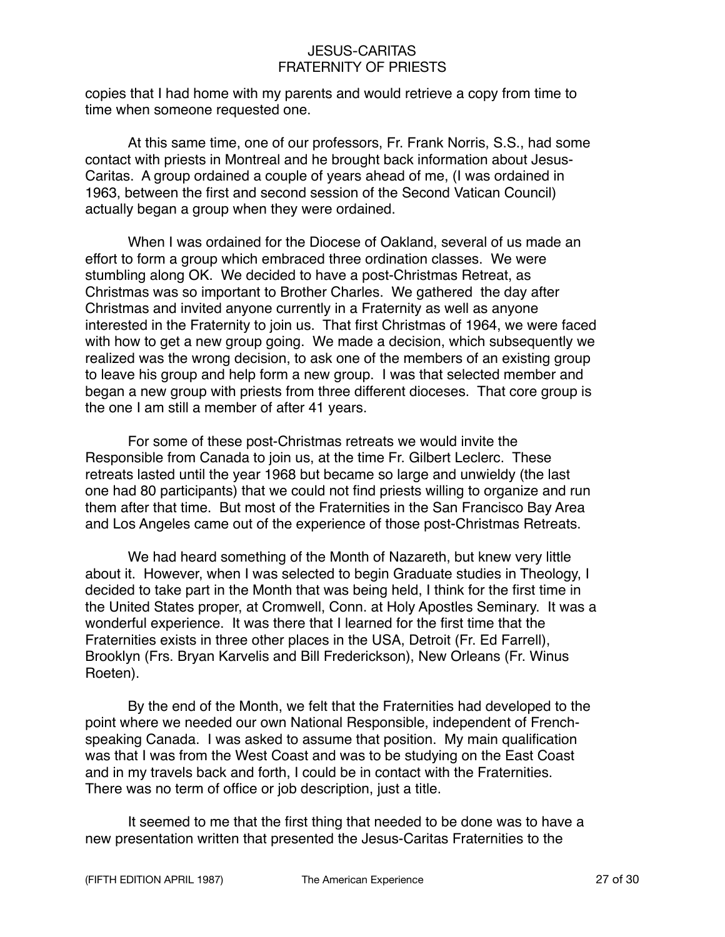copies that I had home with my parents and would retrieve a copy from time to time when someone requested one.

At this same time, one of our professors, Fr. Frank Norris, S.S., had some contact with priests in Montreal and he brought back information about Jesus-Caritas. A group ordained a couple of years ahead of me, (I was ordained in 1963, between the first and second session of the Second Vatican Council) actually began a group when they were ordained.

When I was ordained for the Diocese of Oakland, several of us made an effort to form a group which embraced three ordination classes. We were stumbling along OK. We decided to have a post-Christmas Retreat, as Christmas was so important to Brother Charles. We gathered the day after Christmas and invited anyone currently in a Fraternity as well as anyone interested in the Fraternity to join us. That first Christmas of 1964, we were faced with how to get a new group going. We made a decision, which subsequently we realized was the wrong decision, to ask one of the members of an existing group to leave his group and help form a new group. I was that selected member and began a new group with priests from three different dioceses. That core group is the one I am still a member of after 41 years.

For some of these post-Christmas retreats we would invite the Responsible from Canada to join us, at the time Fr. Gilbert Leclerc. These retreats lasted until the year 1968 but became so large and unwieldy (the last one had 80 participants) that we could not find priests willing to organize and run them after that time. But most of the Fraternities in the San Francisco Bay Area and Los Angeles came out of the experience of those post-Christmas Retreats.

We had heard something of the Month of Nazareth, but knew very little about it. However, when I was selected to begin Graduate studies in Theology, I decided to take part in the Month that was being held, I think for the first time in the United States proper, at Cromwell, Conn. at Holy Apostles Seminary. It was a wonderful experience. It was there that I learned for the first time that the Fraternities exists in three other places in the USA, Detroit (Fr. Ed Farrell), Brooklyn (Frs. Bryan Karvelis and Bill Frederickson), New Orleans (Fr. Winus Roeten).

By the end of the Month, we felt that the Fraternities had developed to the point where we needed our own National Responsible, independent of Frenchspeaking Canada. I was asked to assume that position. My main qualification was that I was from the West Coast and was to be studying on the East Coast and in my travels back and forth, I could be in contact with the Fraternities. There was no term of office or job description, just a title.

It seemed to me that the first thing that needed to be done was to have a new presentation written that presented the Jesus-Caritas Fraternities to the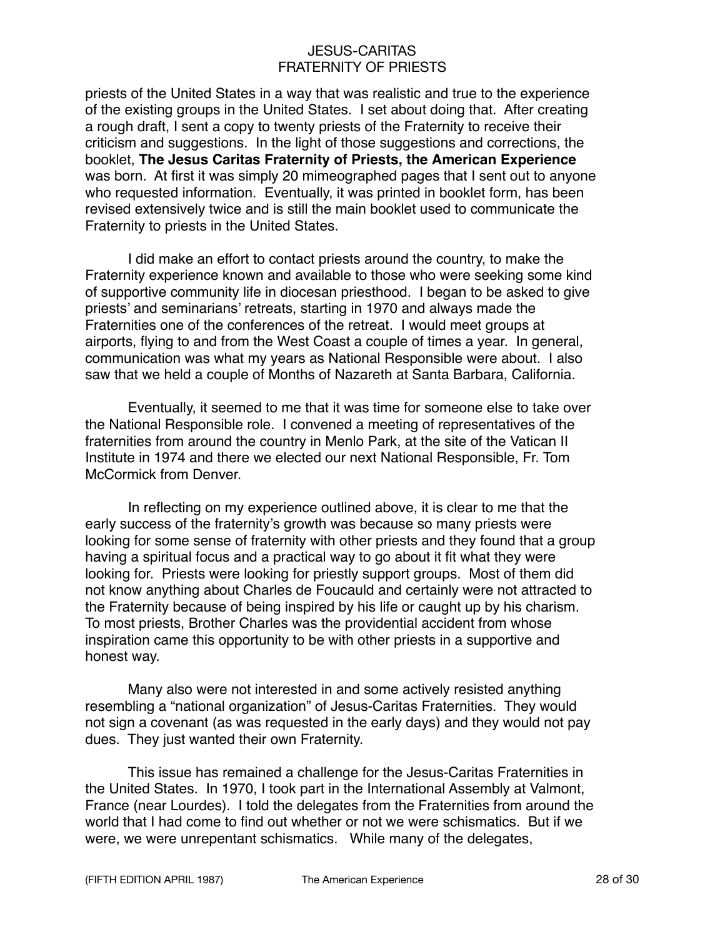priests of the United States in a way that was realistic and true to the experience of the existing groups in the United States. I set about doing that. After creating a rough draft, I sent a copy to twenty priests of the Fraternity to receive their criticism and suggestions. In the light of those suggestions and corrections, the booklet, **The Jesus Caritas Fraternity of Priests, the American Experience** was born. At first it was simply 20 mimeographed pages that I sent out to anyone who requested information. Eventually, it was printed in booklet form, has been revised extensively twice and is still the main booklet used to communicate the Fraternity to priests in the United States.

I did make an effort to contact priests around the country, to make the Fraternity experience known and available to those who were seeking some kind of supportive community life in diocesan priesthood. I began to be asked to give priests' and seminarians' retreats, starting in 1970 and always made the Fraternities one of the conferences of the retreat. I would meet groups at airports, flying to and from the West Coast a couple of times a year. In general, communication was what my years as National Responsible were about. I also saw that we held a couple of Months of Nazareth at Santa Barbara, California.

Eventually, it seemed to me that it was time for someone else to take over the National Responsible role. I convened a meeting of representatives of the fraternities from around the country in Menlo Park, at the site of the Vatican II Institute in 1974 and there we elected our next National Responsible, Fr. Tom McCormick from Denver.

In reflecting on my experience outlined above, it is clear to me that the early success of the fraternity's growth was because so many priests were looking for some sense of fraternity with other priests and they found that a group having a spiritual focus and a practical way to go about it fit what they were looking for. Priests were looking for priestly support groups. Most of them did not know anything about Charles de Foucauld and certainly were not attracted to the Fraternity because of being inspired by his life or caught up by his charism. To most priests, Brother Charles was the providential accident from whose inspiration came this opportunity to be with other priests in a supportive and honest way.

Many also were not interested in and some actively resisted anything resembling a "national organization" of Jesus-Caritas Fraternities. They would not sign a covenant (as was requested in the early days) and they would not pay dues. They just wanted their own Fraternity.

This issue has remained a challenge for the Jesus-Caritas Fraternities in the United States. In 1970, I took part in the International Assembly at Valmont, France (near Lourdes). I told the delegates from the Fraternities from around the world that I had come to find out whether or not we were schismatics. But if we were, we were unrepentant schismatics. While many of the delegates,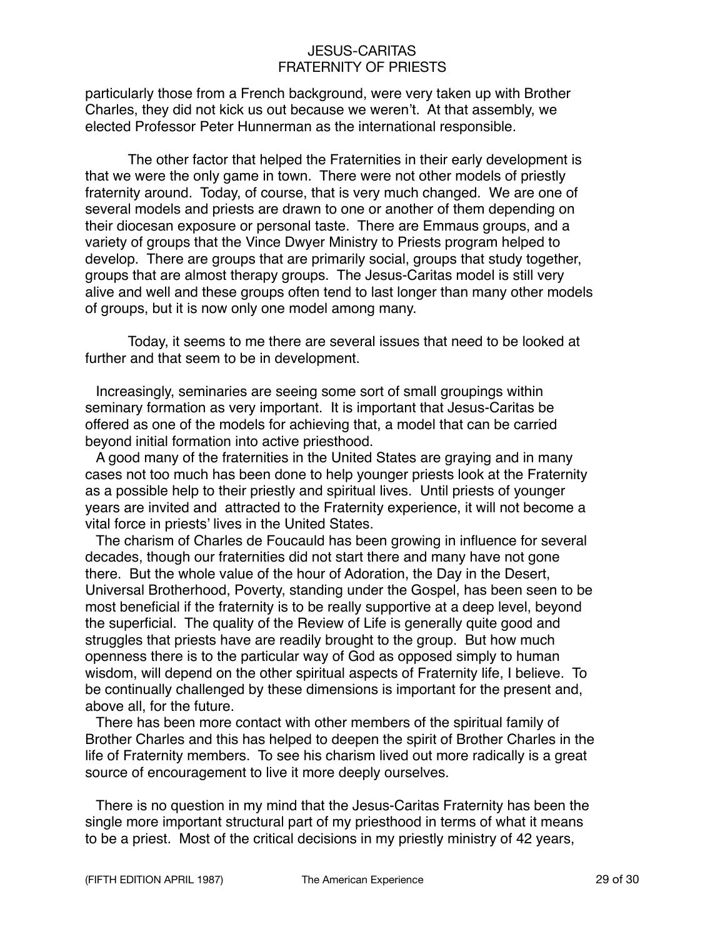particularly those from a French background, were very taken up with Brother Charles, they did not kick us out because we weren't. At that assembly, we elected Professor Peter Hunnerman as the international responsible.

The other factor that helped the Fraternities in their early development is that we were the only game in town. There were not other models of priestly fraternity around. Today, of course, that is very much changed. We are one of several models and priests are drawn to one or another of them depending on their diocesan exposure or personal taste. There are Emmaus groups, and a variety of groups that the Vince Dwyer Ministry to Priests program helped to develop. There are groups that are primarily social, groups that study together, groups that are almost therapy groups. The Jesus-Caritas model is still very alive and well and these groups often tend to last longer than many other models of groups, but it is now only one model among many.

Today, it seems to me there are several issues that need to be looked at further and that seem to be in development.

Increasingly, seminaries are seeing some sort of small groupings within seminary formation as very important. It is important that Jesus-Caritas be offered as one of the models for achieving that, a model that can be carried beyond initial formation into active priesthood.

A good many of the fraternities in the United States are graying and in many cases not too much has been done to help younger priests look at the Fraternity as a possible help to their priestly and spiritual lives. Until priests of younger years are invited and attracted to the Fraternity experience, it will not become a vital force in priests' lives in the United States.

The charism of Charles de Foucauld has been growing in influence for several decades, though our fraternities did not start there and many have not gone there. But the whole value of the hour of Adoration, the Day in the Desert, Universal Brotherhood, Poverty, standing under the Gospel, has been seen to be most beneficial if the fraternity is to be really supportive at a deep level, beyond the superficial. The quality of the Review of Life is generally quite good and struggles that priests have are readily brought to the group. But how much openness there is to the particular way of God as opposed simply to human wisdom, will depend on the other spiritual aspects of Fraternity life, I believe. To be continually challenged by these dimensions is important for the present and, above all, for the future.

There has been more contact with other members of the spiritual family of Brother Charles and this has helped to deepen the spirit of Brother Charles in the life of Fraternity members. To see his charism lived out more radically is a great source of encouragement to live it more deeply ourselves.

There is no question in my mind that the Jesus-Caritas Fraternity has been the single more important structural part of my priesthood in terms of what it means to be a priest. Most of the critical decisions in my priestly ministry of 42 years,